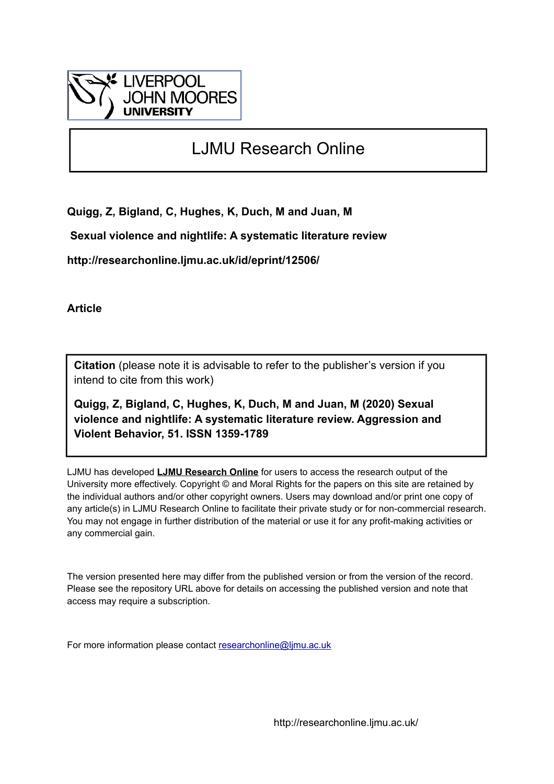

# LJMU Research Online

**Quigg, Z, Bigland, C, Hughes, K, Duch, M and Juan, M**

 **Sexual violence and nightlife: A systematic literature review**

**http://researchonline.ljmu.ac.uk/id/eprint/12506/**

**Article**

**Citation** (please note it is advisable to refer to the publisher's version if you intend to cite from this work)

**Quigg, Z, Bigland, C, Hughes, K, Duch, M and Juan, M (2020) Sexual violence and nightlife: A systematic literature review. Aggression and Violent Behavior, 51. ISSN 1359-1789** 

LJMU has developed **[LJMU Research Online](http://researchonline.ljmu.ac.uk/)** for users to access the research output of the University more effectively. Copyright © and Moral Rights for the papers on this site are retained by the individual authors and/or other copyright owners. Users may download and/or print one copy of any article(s) in LJMU Research Online to facilitate their private study or for non-commercial research. You may not engage in further distribution of the material or use it for any profit-making activities or any commercial gain.

The version presented here may differ from the published version or from the version of the record. Please see the repository URL above for details on accessing the published version and note that access may require a subscription.

For more information please contact [researchonline@ljmu.ac.uk](mailto:researchonline@ljmu.ac.uk)

http://researchonline.ljmu.ac.uk/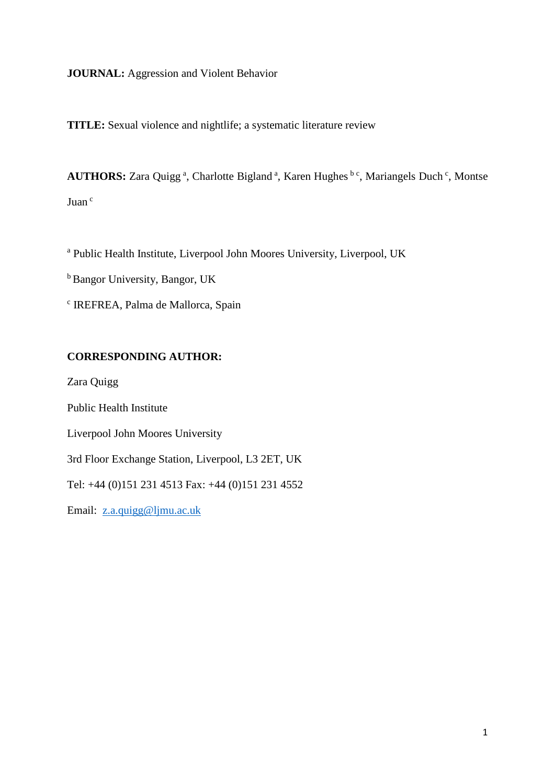# **JOURNAL:** Aggression and Violent Behavior

**TITLE:** Sexual violence and nightlife; a systematic literature review

AUTHORS: Zara Quigg<sup>a</sup>, Charlotte Bigland<sup>a</sup>, Karen Hughes bc, Mariangels Duch<sup>c</sup>, Montse Juan <sup>c</sup>

<sup>a</sup> Public Health Institute, Liverpool John Moores University, Liverpool, UK

<sup>b</sup> Bangor University, Bangor, UK

c IREFREA, Palma de Mallorca, Spain

# **CORRESPONDING AUTHOR:**

Zara Quigg

Public Health Institute

Liverpool John Moores University

3rd Floor Exchange Station, Liverpool, L3 2ET, UK

Tel: +44 (0)151 231 4513 Fax: +44 (0)151 231 4552

Email: [z.a.quigg@ljmu.ac.uk](mailto:z.a.quigg@ljmu.ac.uk)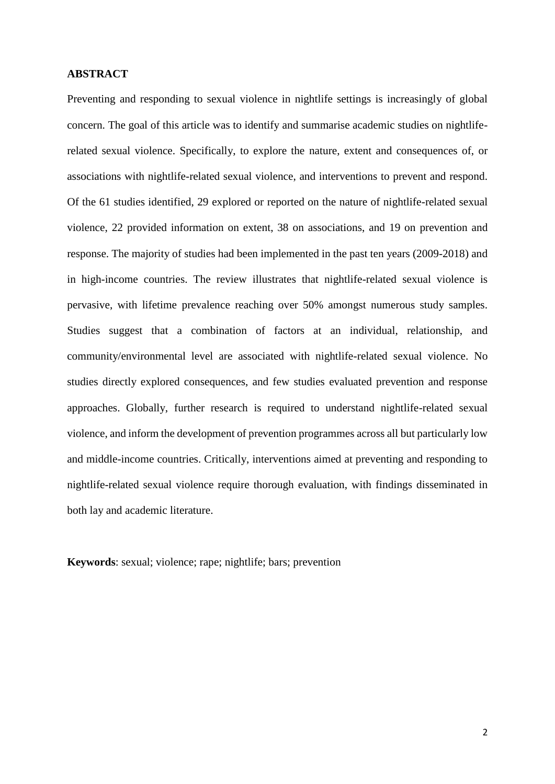## **ABSTRACT**

Preventing and responding to sexual violence in nightlife settings is increasingly of global concern. The goal of this article was to identify and summarise academic studies on nightliferelated sexual violence. Specifically, to explore the nature, extent and consequences of, or associations with nightlife-related sexual violence, and interventions to prevent and respond. Of the 61 studies identified, 29 explored or reported on the nature of nightlife-related sexual violence, 22 provided information on extent, 38 on associations, and 19 on prevention and response. The majority of studies had been implemented in the past ten years (2009-2018) and in high-income countries. The review illustrates that nightlife-related sexual violence is pervasive, with lifetime prevalence reaching over 50% amongst numerous study samples. Studies suggest that a combination of factors at an individual, relationship, and community/environmental level are associated with nightlife-related sexual violence. No studies directly explored consequences, and few studies evaluated prevention and response approaches. Globally, further research is required to understand nightlife-related sexual violence, and inform the development of prevention programmes across all but particularly low and middle-income countries. Critically, interventions aimed at preventing and responding to nightlife-related sexual violence require thorough evaluation, with findings disseminated in both lay and academic literature.

**Keywords**: sexual; violence; rape; nightlife; bars; prevention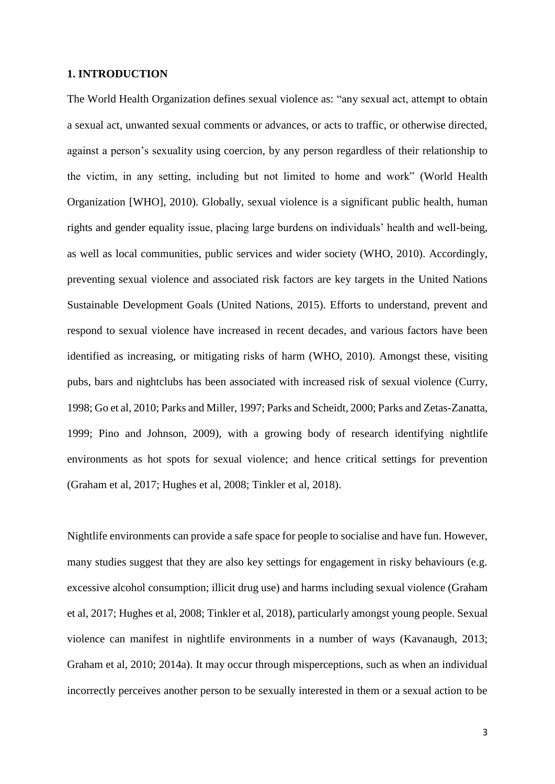#### **1. INTRODUCTION**

The World Health Organization defines sexual violence as: "any sexual act, attempt to obtain a sexual act, unwanted sexual comments or advances, or acts to traffic, or otherwise directed, against a person's sexuality using coercion, by any person regardless of their relationship to the victim, in any setting, including but not limited to home and work" (World Health Organization [WHO], 2010). Globally, sexual violence is a significant public health, human rights and gender equality issue, placing large burdens on individuals' health and well-being, as well as local communities, public services and wider society (WHO, 2010). Accordingly, preventing sexual violence and associated risk factors are key targets in the United Nations Sustainable Development Goals (United Nations, 2015). Efforts to understand, prevent and respond to sexual violence have increased in recent decades, and various factors have been identified as increasing, or mitigating risks of harm (WHO, 2010). Amongst these, visiting pubs, bars and nightclubs has been associated with increased risk of sexual violence (Curry, 1998; Go et al, 2010; Parks and Miller, 1997; Parks and Scheidt, 2000; Parks and Zetas-Zanatta, 1999; Pino and Johnson, 2009), with a growing body of research identifying nightlife environments as hot spots for sexual violence; and hence critical settings for prevention (Graham et al, 2017; Hughes et al, 2008; Tinkler et al, 2018).

Nightlife environments can provide a safe space for people to socialise and have fun. However, many studies suggest that they are also key settings for engagement in risky behaviours (e.g. excessive alcohol consumption; illicit drug use) and harms including sexual violence (Graham et al, 2017; Hughes et al, 2008; Tinkler et al, 2018), particularly amongst young people. Sexual violence can manifest in nightlife environments in a number of ways (Kavanaugh, 2013; Graham et al, 2010; 2014a). It may occur through misperceptions, such as when an individual incorrectly perceives another person to be sexually interested in them or a sexual action to be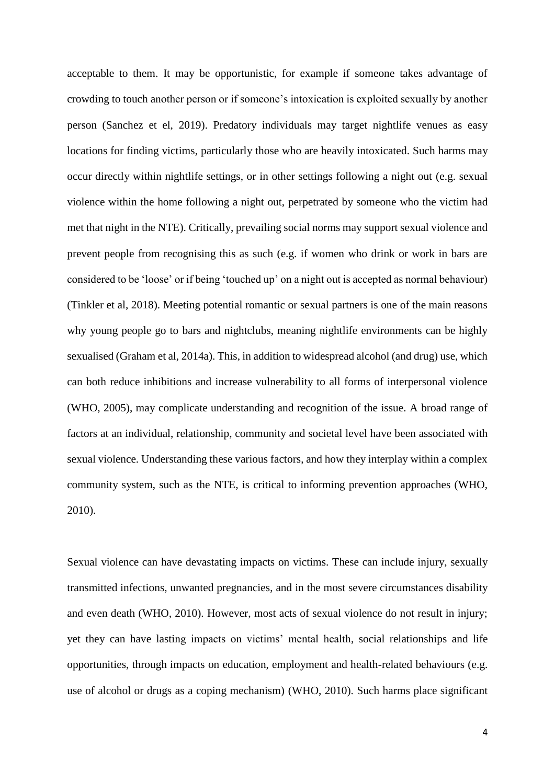acceptable to them. It may be opportunistic, for example if someone takes advantage of crowding to touch another person or if someone's intoxication is exploited sexually by another person (Sanchez et el, 2019). Predatory individuals may target nightlife venues as easy locations for finding victims, particularly those who are heavily intoxicated. Such harms may occur directly within nightlife settings, or in other settings following a night out (e.g. sexual violence within the home following a night out, perpetrated by someone who the victim had met that night in the NTE). Critically, prevailing social norms may support sexual violence and prevent people from recognising this as such (e.g. if women who drink or work in bars are considered to be 'loose' or if being 'touched up' on a night out is accepted as normal behaviour) (Tinkler et al, 2018). Meeting potential romantic or sexual partners is one of the main reasons why young people go to bars and nightclubs, meaning nightlife environments can be highly sexualised (Graham et al, 2014a). This, in addition to widespread alcohol (and drug) use, which can both reduce inhibitions and increase vulnerability to all forms of interpersonal violence (WHO, 2005), may complicate understanding and recognition of the issue. A broad range of factors at an individual, relationship, community and societal level have been associated with sexual violence. Understanding these various factors, and how they interplay within a complex community system, such as the NTE, is critical to informing prevention approaches (WHO, 2010).

Sexual violence can have devastating impacts on victims. These can include injury, sexually transmitted infections, unwanted pregnancies, and in the most severe circumstances disability and even death (WHO, 2010). However, most acts of sexual violence do not result in injury; yet they can have lasting impacts on victims' mental health, social relationships and life opportunities, through impacts on education, employment and health-related behaviours (e.g. use of alcohol or drugs as a coping mechanism) (WHO, 2010). Such harms place significant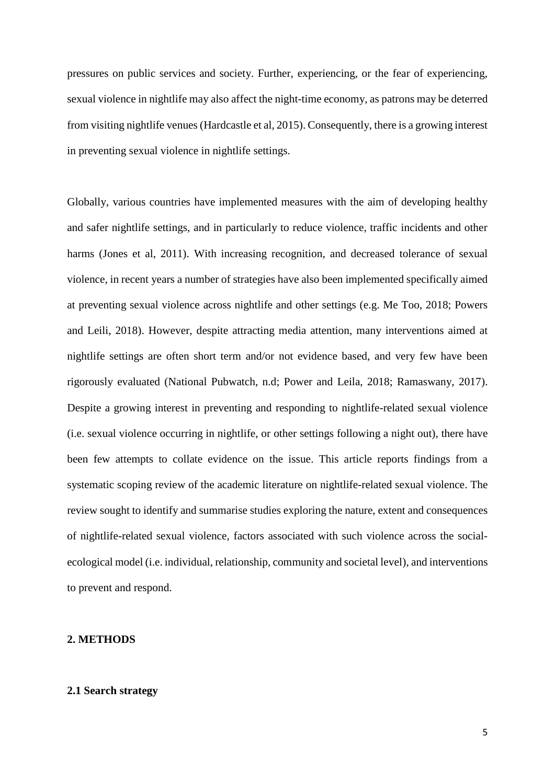pressures on public services and society. Further, experiencing, or the fear of experiencing, sexual violence in nightlife may also affect the night-time economy, as patrons may be deterred from visiting nightlife venues (Hardcastle et al, 2015). Consequently, there is a growing interest in preventing sexual violence in nightlife settings.

Globally, various countries have implemented measures with the aim of developing healthy and safer nightlife settings, and in particularly to reduce violence, traffic incidents and other harms (Jones et al, 2011). With increasing recognition, and decreased tolerance of sexual violence, in recent years a number of strategies have also been implemented specifically aimed at preventing sexual violence across nightlife and other settings (e.g. Me Too, 2018; Powers and Leili, 2018). However, despite attracting media attention, many interventions aimed at nightlife settings are often short term and/or not evidence based, and very few have been rigorously evaluated (National Pubwatch, n.d; Power and Leila, 2018; Ramaswany, 2017). Despite a growing interest in preventing and responding to nightlife-related sexual violence (i.e. sexual violence occurring in nightlife, or other settings following a night out), there have been few attempts to collate evidence on the issue. This article reports findings from a systematic scoping review of the academic literature on nightlife-related sexual violence. The review sought to identify and summarise studies exploring the nature, extent and consequences of nightlife-related sexual violence, factors associated with such violence across the socialecological model (i.e. individual, relationship, community and societal level), and interventions to prevent and respond.

# **2. METHODS**

# **2.1 Search strategy**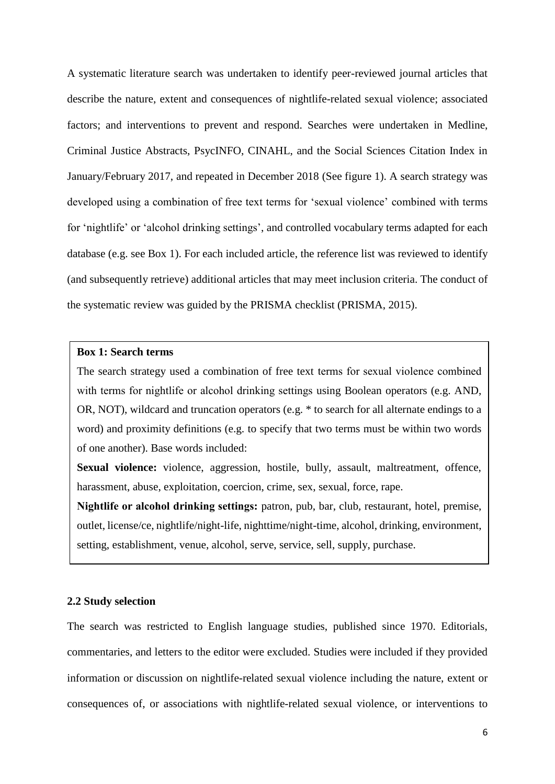A systematic literature search was undertaken to identify peer-reviewed journal articles that describe the nature, extent and consequences of nightlife-related sexual violence; associated factors; and interventions to prevent and respond. Searches were undertaken in Medline, Criminal Justice Abstracts, PsycINFO, CINAHL, and the Social Sciences Citation Index in January/February 2017, and repeated in December 2018 (See figure 1). A search strategy was developed using a combination of free text terms for 'sexual violence' combined with terms for 'nightlife' or 'alcohol drinking settings', and controlled vocabulary terms adapted for each database (e.g. see Box 1). For each included article, the reference list was reviewed to identify (and subsequently retrieve) additional articles that may meet inclusion criteria. The conduct of the systematic review was guided by the PRISMA checklist (PRISMA, 2015).

# **Box 1: Search terms**

The search strategy used a combination of free text terms for sexual violence combined with terms for nightlife or alcohol drinking settings using Boolean operators (e.g. AND, OR, NOT), wildcard and truncation operators (e.g. \* to search for all alternate endings to a word) and proximity definitions (e.g. to specify that two terms must be within two words of one another). Base words included:

Sexual violence: violence, aggression, hostile, bully, assault, maltreatment, offence, harassment, abuse, exploitation, coercion, crime, sex, sexual, force, rape.

**Nightlife or alcohol drinking settings:** patron, pub, bar, club, restaurant, hotel, premise, outlet, license/ce, nightlife/night-life, nighttime/night-time, alcohol, drinking, environment, setting, establishment, venue, alcohol, serve, service, sell, supply, purchase.

## **2.2 Study selection**

The search was restricted to English language studies, published since 1970. Editorials, commentaries, and letters to the editor were excluded. Studies were included if they provided information or discussion on nightlife-related sexual violence including the nature, extent or consequences of, or associations with nightlife-related sexual violence, or interventions to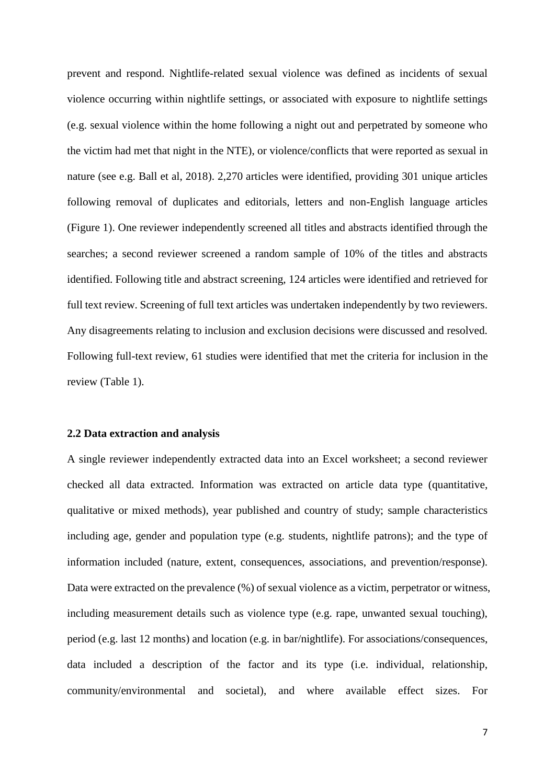prevent and respond. Nightlife-related sexual violence was defined as incidents of sexual violence occurring within nightlife settings, or associated with exposure to nightlife settings (e.g. sexual violence within the home following a night out and perpetrated by someone who the victim had met that night in the NTE), or violence/conflicts that were reported as sexual in nature (see e.g. Ball et al, 2018). 2,270 articles were identified, providing 301 unique articles following removal of duplicates and editorials, letters and non-English language articles (Figure 1). One reviewer independently screened all titles and abstracts identified through the searches; a second reviewer screened a random sample of 10% of the titles and abstracts identified. Following title and abstract screening, 124 articles were identified and retrieved for full text review. Screening of full text articles was undertaken independently by two reviewers. Any disagreements relating to inclusion and exclusion decisions were discussed and resolved. Following full-text review, 61 studies were identified that met the criteria for inclusion in the review (Table 1).

#### **2.2 Data extraction and analysis**

A single reviewer independently extracted data into an Excel worksheet; a second reviewer checked all data extracted. Information was extracted on article data type (quantitative, qualitative or mixed methods), year published and country of study; sample characteristics including age, gender and population type (e.g. students, nightlife patrons); and the type of information included (nature, extent, consequences, associations, and prevention/response). Data were extracted on the prevalence (%) of sexual violence as a victim, perpetrator or witness, including measurement details such as violence type (e.g. rape, unwanted sexual touching), period (e.g. last 12 months) and location (e.g. in bar/nightlife). For associations/consequences, data included a description of the factor and its type (i.e. individual, relationship, community/environmental and societal), and where available effect sizes. For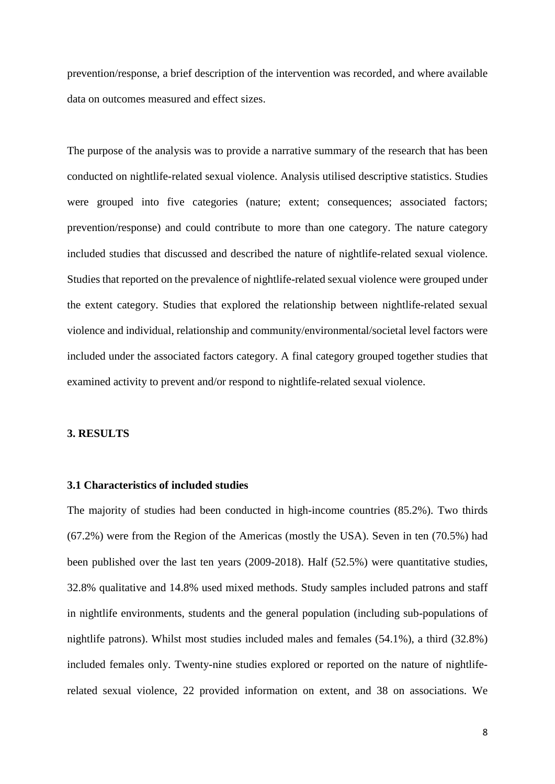prevention/response, a brief description of the intervention was recorded, and where available data on outcomes measured and effect sizes.

The purpose of the analysis was to provide a narrative summary of the research that has been conducted on nightlife-related sexual violence. Analysis utilised descriptive statistics. Studies were grouped into five categories (nature; extent; consequences; associated factors; prevention/response) and could contribute to more than one category. The nature category included studies that discussed and described the nature of nightlife-related sexual violence. Studies that reported on the prevalence of nightlife-related sexual violence were grouped under the extent category. Studies that explored the relationship between nightlife-related sexual violence and individual, relationship and community/environmental/societal level factors were included under the associated factors category. A final category grouped together studies that examined activity to prevent and/or respond to nightlife-related sexual violence.

#### **3. RESULTS**

# **3.1 Characteristics of included studies**

The majority of studies had been conducted in high-income countries (85.2%). Two thirds (67.2%) were from the Region of the Americas (mostly the USA). Seven in ten (70.5%) had been published over the last ten years (2009-2018). Half (52.5%) were quantitative studies, 32.8% qualitative and 14.8% used mixed methods. Study samples included patrons and staff in nightlife environments, students and the general population (including sub-populations of nightlife patrons). Whilst most studies included males and females (54.1%), a third (32.8%) included females only. Twenty-nine studies explored or reported on the nature of nightliferelated sexual violence, 22 provided information on extent, and 38 on associations. We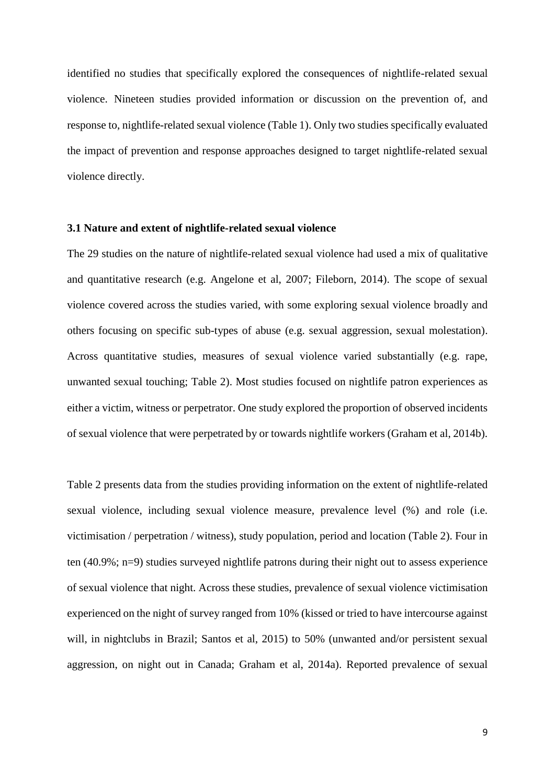identified no studies that specifically explored the consequences of nightlife-related sexual violence. Nineteen studies provided information or discussion on the prevention of, and response to, nightlife-related sexual violence (Table 1). Only two studies specifically evaluated the impact of prevention and response approaches designed to target nightlife-related sexual violence directly.

## **3.1 Nature and extent of nightlife-related sexual violence**

The 29 studies on the nature of nightlife-related sexual violence had used a mix of qualitative and quantitative research (e.g. Angelone et al, 2007; Fileborn, 2014). The scope of sexual violence covered across the studies varied, with some exploring sexual violence broadly and others focusing on specific sub-types of abuse (e.g. sexual aggression, sexual molestation). Across quantitative studies, measures of sexual violence varied substantially (e.g. rape, unwanted sexual touching; Table 2). Most studies focused on nightlife patron experiences as either a victim, witness or perpetrator. One study explored the proportion of observed incidents of sexual violence that were perpetrated by or towards nightlife workers (Graham et al, 2014b).

Table 2 presents data from the studies providing information on the extent of nightlife-related sexual violence, including sexual violence measure, prevalence level (%) and role (i.e. victimisation / perpetration / witness), study population, period and location (Table 2). Four in ten (40.9%; n=9) studies surveyed nightlife patrons during their night out to assess experience of sexual violence that night. Across these studies, prevalence of sexual violence victimisation experienced on the night of survey ranged from 10% (kissed or tried to have intercourse against will, in nightclubs in Brazil; Santos et al, 2015) to 50% (unwanted and/or persistent sexual aggression, on night out in Canada; Graham et al, 2014a). Reported prevalence of sexual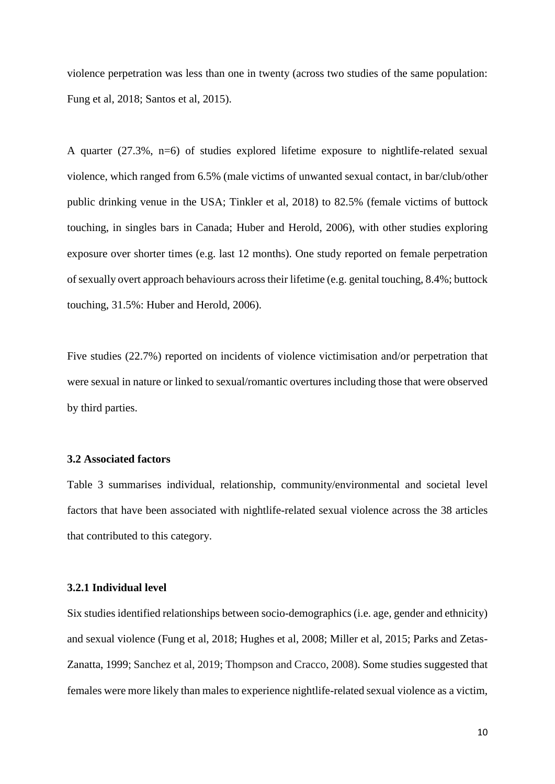violence perpetration was less than one in twenty (across two studies of the same population: Fung et al, 2018; Santos et al, 2015).

A quarter (27.3%, n=6) of studies explored lifetime exposure to nightlife-related sexual violence, which ranged from 6.5% (male victims of unwanted sexual contact, in bar/club/other public drinking venue in the USA; Tinkler et al, 2018) to 82.5% (female victims of buttock touching, in singles bars in Canada; Huber and Herold, 2006), with other studies exploring exposure over shorter times (e.g. last 12 months). One study reported on female perpetration of sexually overt approach behaviours across their lifetime (e.g. genital touching, 8.4%; buttock touching, 31.5%: Huber and Herold, 2006).

Five studies (22.7%) reported on incidents of violence victimisation and/or perpetration that were sexual in nature or linked to sexual/romantic overtures including those that were observed by third parties.

#### **3.2 Associated factors**

Table 3 summarises individual, relationship, community/environmental and societal level factors that have been associated with nightlife-related sexual violence across the 38 articles that contributed to this category.

# **3.2.1 Individual level**

Six studies identified relationships between socio-demographics (i.e. age, gender and ethnicity) and sexual violence (Fung et al, 2018; Hughes et al, 2008; Miller et al, 2015; Parks and Zetas-Zanatta, 1999; Sanchez et al, 2019; Thompson and Cracco, 2008). Some studies suggested that females were more likely than males to experience nightlife-related sexual violence as a victim,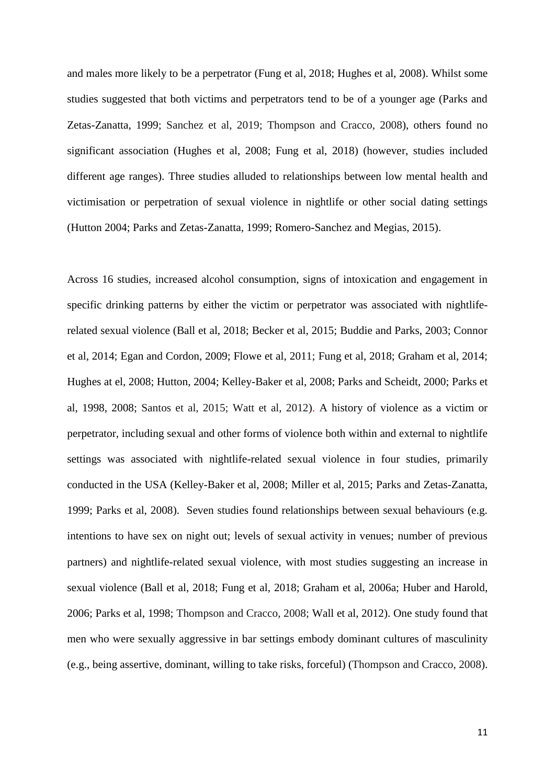and males more likely to be a perpetrator (Fung et al, 2018; Hughes et al, 2008). Whilst some studies suggested that both victims and perpetrators tend to be of a younger age (Parks and Zetas-Zanatta, 1999; Sanchez et al, 2019; Thompson and Cracco, 2008), others found no significant association (Hughes et al, 2008; Fung et al, 2018) (however, studies included different age ranges). Three studies alluded to relationships between low mental health and victimisation or perpetration of sexual violence in nightlife or other social dating settings (Hutton 2004; Parks and Zetas-Zanatta, 1999; Romero-Sanchez and Megias, 2015).

Across 16 studies, increased alcohol consumption, signs of intoxication and engagement in specific drinking patterns by either the victim or perpetrator was associated with nightliferelated sexual violence (Ball et al, 2018; Becker et al, 2015; Buddie and Parks, 2003; Connor et al, 2014; Egan and Cordon, 2009; Flowe et al, 2011; Fung et al, 2018; Graham et al, 2014; Hughes at el, 2008; Hutton, 2004; Kelley-Baker et al, 2008; Parks and Scheidt, 2000; Parks et al, 1998, 2008; Santos et al, 2015; Watt et al, 2012). A history of violence as a victim or perpetrator, including sexual and other forms of violence both within and external to nightlife settings was associated with nightlife-related sexual violence in four studies, primarily conducted in the USA (Kelley-Baker et al, 2008; Miller et al, 2015; Parks and Zetas-Zanatta, 1999; Parks et al, 2008). Seven studies found relationships between sexual behaviours (e.g. intentions to have sex on night out; levels of sexual activity in venues; number of previous partners) and nightlife-related sexual violence, with most studies suggesting an increase in sexual violence (Ball et al, 2018; Fung et al, 2018; Graham et al, 2006a; Huber and Harold, 2006; Parks et al, 1998; Thompson and Cracco, 2008; Wall et al, 2012). One study found that men who were sexually aggressive in bar settings embody dominant cultures of masculinity (e.g., being assertive, dominant, willing to take risks, forceful) (Thompson and Cracco, 2008).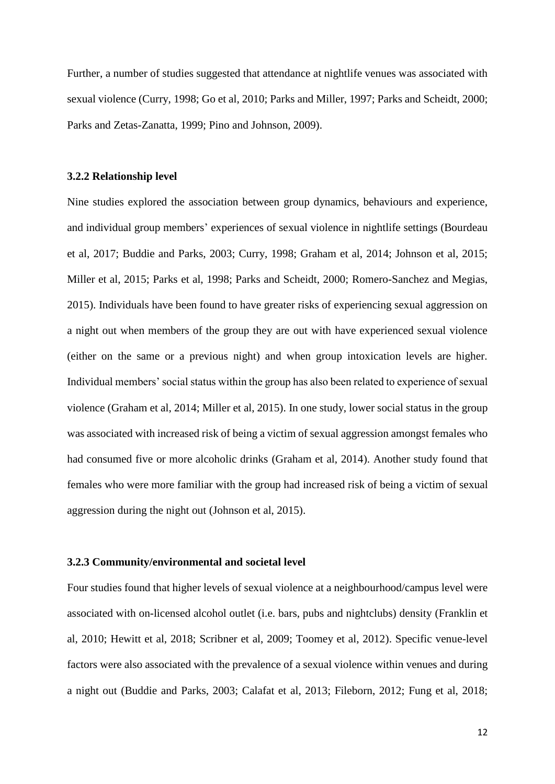Further, a number of studies suggested that attendance at nightlife venues was associated with sexual violence (Curry, 1998; Go et al, 2010; Parks and Miller, 1997; Parks and Scheidt, 2000; Parks and Zetas-Zanatta, 1999; Pino and Johnson, 2009).

#### **3.2.2 Relationship level**

Nine studies explored the association between group dynamics, behaviours and experience, and individual group members' experiences of sexual violence in nightlife settings (Bourdeau et al, 2017; Buddie and Parks, 2003; Curry, 1998; Graham et al, 2014; Johnson et al, 2015; Miller et al, 2015; Parks et al, 1998; Parks and Scheidt, 2000; Romero-Sanchez and Megias, 2015). Individuals have been found to have greater risks of experiencing sexual aggression on a night out when members of the group they are out with have experienced sexual violence (either on the same or a previous night) and when group intoxication levels are higher. Individual members' social status within the group has also been related to experience of sexual violence (Graham et al, 2014; Miller et al, 2015). In one study, lower social status in the group was associated with increased risk of being a victim of sexual aggression amongst females who had consumed five or more alcoholic drinks (Graham et al, 2014). Another study found that females who were more familiar with the group had increased risk of being a victim of sexual aggression during the night out (Johnson et al, 2015).

#### **3.2.3 Community/environmental and societal level**

Four studies found that higher levels of sexual violence at a neighbourhood/campus level were associated with on-licensed alcohol outlet (i.e. bars, pubs and nightclubs) density (Franklin et al, 2010; Hewitt et al, 2018; Scribner et al, 2009; Toomey et al, 2012). Specific venue-level factors were also associated with the prevalence of a sexual violence within venues and during a night out (Buddie and Parks, 2003; Calafat et al, 2013; Fileborn, 2012; Fung et al, 2018;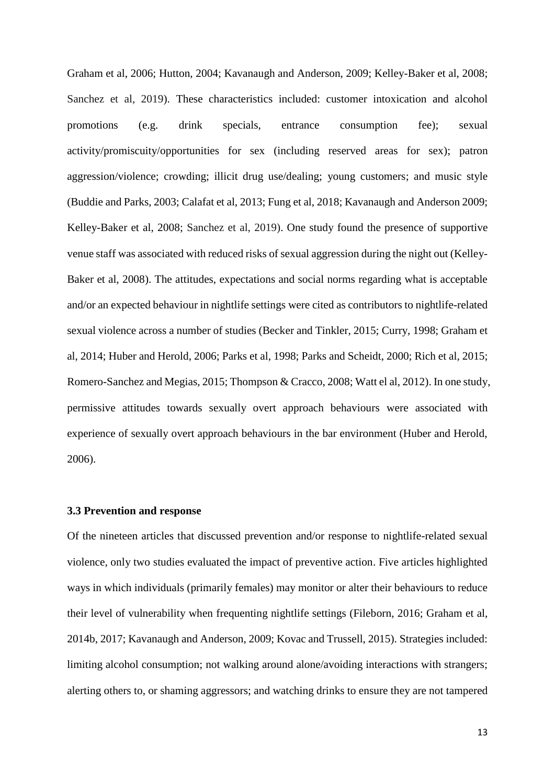Graham et al, 2006; Hutton, 2004; Kavanaugh and Anderson, 2009; Kelley-Baker et al, 2008; Sanchez et al, 2019). These characteristics included: customer intoxication and alcohol promotions (e.g. drink specials, entrance consumption fee); sexual activity/promiscuity/opportunities for sex (including reserved areas for sex); patron aggression/violence; crowding; illicit drug use/dealing; young customers; and music style (Buddie and Parks, 2003; Calafat et al, 2013; Fung et al, 2018; Kavanaugh and Anderson 2009; Kelley-Baker et al, 2008; Sanchez et al, 2019). One study found the presence of supportive venue staff was associated with reduced risks of sexual aggression during the night out (Kelley-Baker et al, 2008). The attitudes, expectations and social norms regarding what is acceptable and/or an expected behaviour in nightlife settings were cited as contributors to nightlife-related sexual violence across a number of studies (Becker and Tinkler, 2015; Curry, 1998; Graham et al, 2014; Huber and Herold, 2006; Parks et al, 1998; Parks and Scheidt, 2000; Rich et al, 2015; Romero-Sanchez and Megias, 2015; Thompson & Cracco, 2008; Watt el al, 2012). In one study, permissive attitudes towards sexually overt approach behaviours were associated with experience of sexually overt approach behaviours in the bar environment (Huber and Herold, 2006).

#### **3.3 Prevention and response**

Of the nineteen articles that discussed prevention and/or response to nightlife-related sexual violence, only two studies evaluated the impact of preventive action. Five articles highlighted ways in which individuals (primarily females) may monitor or alter their behaviours to reduce their level of vulnerability when frequenting nightlife settings (Fileborn, 2016; Graham et al, 2014b, 2017; Kavanaugh and Anderson, 2009; Kovac and Trussell, 2015). Strategies included: limiting alcohol consumption; not walking around alone/avoiding interactions with strangers; alerting others to, or shaming aggressors; and watching drinks to ensure they are not tampered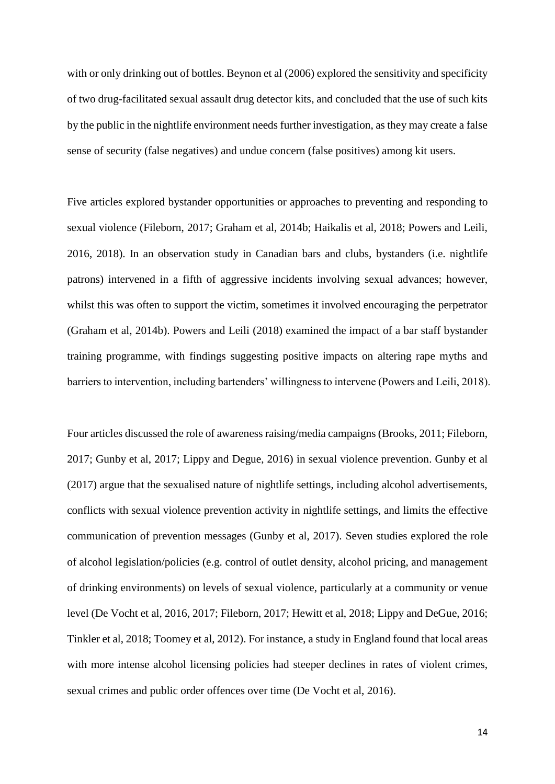with or only drinking out of bottles. Beynon et al  $(2006)$  explored the sensitivity and specificity of two drug-facilitated sexual assault drug detector kits, and concluded that the use of such kits by the public in the nightlife environment needs further investigation, as they may create a false sense of security (false negatives) and undue concern (false positives) among kit users.

Five articles explored bystander opportunities or approaches to preventing and responding to sexual violence (Fileborn, 2017; Graham et al, 2014b; Haikalis et al, 2018; Powers and Leili, 2016, 2018). In an observation study in Canadian bars and clubs, bystanders (i.e. nightlife patrons) intervened in a fifth of aggressive incidents involving sexual advances; however, whilst this was often to support the victim, sometimes it involved encouraging the perpetrator (Graham et al, 2014b). Powers and Leili (2018) examined the impact of a bar staff bystander training programme, with findings suggesting positive impacts on altering rape myths and barriers to intervention, including bartenders' willingness to intervene (Powers and Leili, 2018).

Four articles discussed the role of awareness raising/media campaigns (Brooks, 2011; Fileborn, 2017; Gunby et al, 2017; Lippy and Degue, 2016) in sexual violence prevention. Gunby et al (2017) argue that the sexualised nature of nightlife settings, including alcohol advertisements, conflicts with sexual violence prevention activity in nightlife settings, and limits the effective communication of prevention messages (Gunby et al, 2017). Seven studies explored the role of alcohol legislation/policies (e.g. control of outlet density, alcohol pricing, and management of drinking environments) on levels of sexual violence, particularly at a community or venue level (De Vocht et al, 2016, 2017; Fileborn, 2017; Hewitt et al, 2018; Lippy and DeGue, 2016; Tinkler et al, 2018; Toomey et al, 2012). For instance, a study in England found that local areas with more intense alcohol licensing policies had steeper declines in rates of violent crimes, sexual crimes and public order offences over time (De Vocht et al, 2016).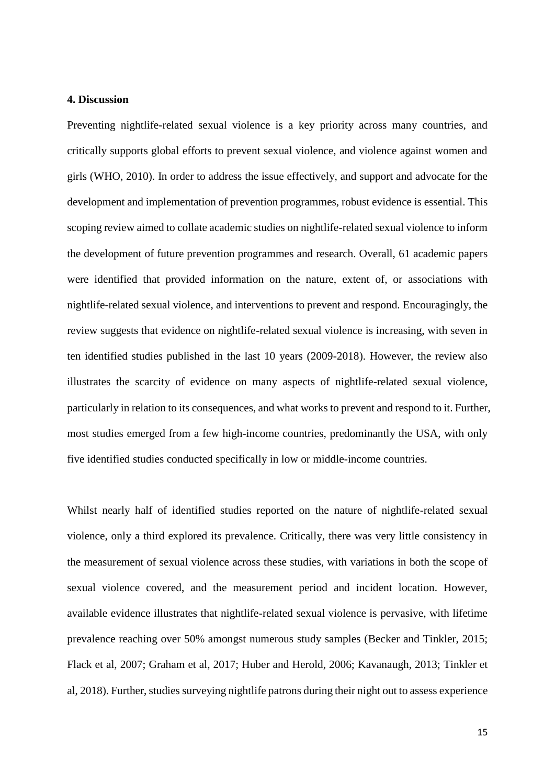#### **4. Discussion**

Preventing nightlife-related sexual violence is a key priority across many countries, and critically supports global efforts to prevent sexual violence, and violence against women and girls (WHO, 2010). In order to address the issue effectively, and support and advocate for the development and implementation of prevention programmes, robust evidence is essential. This scoping review aimed to collate academic studies on nightlife-related sexual violence to inform the development of future prevention programmes and research. Overall, 61 academic papers were identified that provided information on the nature, extent of, or associations with nightlife-related sexual violence, and interventions to prevent and respond. Encouragingly, the review suggests that evidence on nightlife-related sexual violence is increasing, with seven in ten identified studies published in the last 10 years (2009-2018). However, the review also illustrates the scarcity of evidence on many aspects of nightlife-related sexual violence, particularly in relation to its consequences, and what works to prevent and respond to it. Further, most studies emerged from a few high-income countries, predominantly the USA, with only five identified studies conducted specifically in low or middle-income countries.

Whilst nearly half of identified studies reported on the nature of nightlife-related sexual violence, only a third explored its prevalence. Critically, there was very little consistency in the measurement of sexual violence across these studies, with variations in both the scope of sexual violence covered, and the measurement period and incident location. However, available evidence illustrates that nightlife-related sexual violence is pervasive, with lifetime prevalence reaching over 50% amongst numerous study samples (Becker and Tinkler, 2015; Flack et al, 2007; Graham et al, 2017; Huber and Herold, 2006; Kavanaugh, 2013; Tinkler et al, 2018). Further, studies surveying nightlife patrons during their night out to assess experience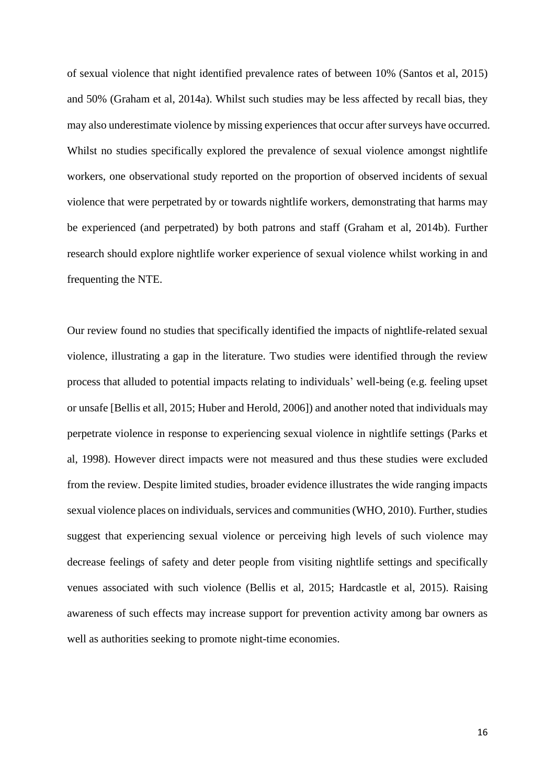of sexual violence that night identified prevalence rates of between 10% (Santos et al, 2015) and 50% (Graham et al, 2014a). Whilst such studies may be less affected by recall bias, they may also underestimate violence by missing experiences that occur after surveys have occurred. Whilst no studies specifically explored the prevalence of sexual violence amongst nightlife workers, one observational study reported on the proportion of observed incidents of sexual violence that were perpetrated by or towards nightlife workers, demonstrating that harms may be experienced (and perpetrated) by both patrons and staff (Graham et al, 2014b). Further research should explore nightlife worker experience of sexual violence whilst working in and frequenting the NTE.

Our review found no studies that specifically identified the impacts of nightlife-related sexual violence, illustrating a gap in the literature. Two studies were identified through the review process that alluded to potential impacts relating to individuals' well-being (e.g. feeling upset or unsafe [Bellis et all, 2015; Huber and Herold, 2006]) and another noted that individuals may perpetrate violence in response to experiencing sexual violence in nightlife settings (Parks et al, 1998). However direct impacts were not measured and thus these studies were excluded from the review. Despite limited studies, broader evidence illustrates the wide ranging impacts sexual violence places on individuals, services and communities (WHO, 2010). Further, studies suggest that experiencing sexual violence or perceiving high levels of such violence may decrease feelings of safety and deter people from visiting nightlife settings and specifically venues associated with such violence (Bellis et al, 2015; Hardcastle et al, 2015). Raising awareness of such effects may increase support for prevention activity among bar owners as well as authorities seeking to promote night-time economies.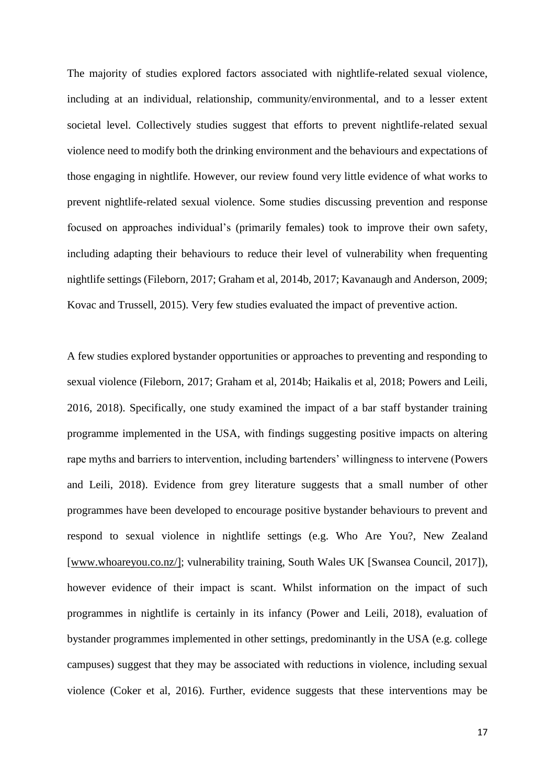The majority of studies explored factors associated with nightlife-related sexual violence, including at an individual, relationship, community/environmental, and to a lesser extent societal level. Collectively studies suggest that efforts to prevent nightlife-related sexual violence need to modify both the drinking environment and the behaviours and expectations of those engaging in nightlife. However, our review found very little evidence of what works to prevent nightlife-related sexual violence. Some studies discussing prevention and response focused on approaches individual's (primarily females) took to improve their own safety, including adapting their behaviours to reduce their level of vulnerability when frequenting nightlife settings (Fileborn, 2017; Graham et al, 2014b, 2017; Kavanaugh and Anderson, 2009; Kovac and Trussell, 2015). Very few studies evaluated the impact of preventive action.

A few studies explored bystander opportunities or approaches to preventing and responding to sexual violence (Fileborn, 2017; Graham et al, 2014b; Haikalis et al, 2018; Powers and Leili, 2016, 2018). Specifically, one study examined the impact of a bar staff bystander training programme implemented in the USA, with findings suggesting positive impacts on altering rape myths and barriers to intervention, including bartenders' willingness to intervene (Powers and Leili, 2018). Evidence from grey literature suggests that a small number of other programmes have been developed to encourage positive bystander behaviours to prevent and respond to sexual violence in nightlife settings (e.g. Who Are You?, New Zealand [\[www.whoareyou.co.nz/\]](http://www.whoareyou.co.nz/); vulnerability training, South Wales UK [Swansea Council, 2017]), however evidence of their impact is scant. Whilst information on the impact of such programmes in nightlife is certainly in its infancy (Power and Leili, 2018), evaluation of bystander programmes implemented in other settings, predominantly in the USA (e.g. college campuses) suggest that they may be associated with reductions in violence, including sexual violence (Coker et al, 2016). Further, evidence suggests that these interventions may be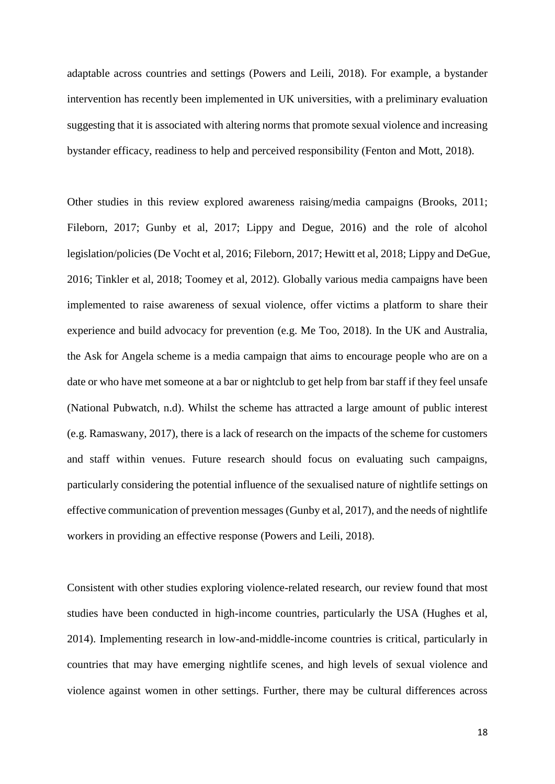adaptable across countries and settings (Powers and Leili, 2018). For example, a bystander intervention has recently been implemented in UK universities, with a preliminary evaluation suggesting that it is associated with altering norms that promote sexual violence and increasing bystander efficacy, readiness to help and perceived responsibility (Fenton and Mott, 2018).

Other studies in this review explored awareness raising/media campaigns (Brooks, 2011; Fileborn, 2017; Gunby et al, 2017; Lippy and Degue, 2016) and the role of alcohol legislation/policies (De Vocht et al, 2016; Fileborn, 2017; Hewitt et al, 2018; Lippy and DeGue, 2016; Tinkler et al, 2018; Toomey et al, 2012). Globally various media campaigns have been implemented to raise awareness of sexual violence, offer victims a platform to share their experience and build advocacy for prevention (e.g. Me Too, 2018). In the UK and Australia, the Ask for Angela scheme is a media campaign that aims to encourage people who are on a date or who have met someone at a bar or nightclub to get help from bar staff if they feel unsafe (National Pubwatch, n.d). Whilst the scheme has attracted a large amount of public interest (e.g. Ramaswany, 2017), there is a lack of research on the impacts of the scheme for customers and staff within venues. Future research should focus on evaluating such campaigns, particularly considering the potential influence of the sexualised nature of nightlife settings on effective communication of prevention messages (Gunby et al, 2017), and the needs of nightlife workers in providing an effective response (Powers and Leili, 2018).

Consistent with other studies exploring violence-related research, our review found that most studies have been conducted in high-income countries, particularly the USA (Hughes et al, 2014). Implementing research in low-and-middle-income countries is critical, particularly in countries that may have emerging nightlife scenes, and high levels of sexual violence and violence against women in other settings. Further, there may be cultural differences across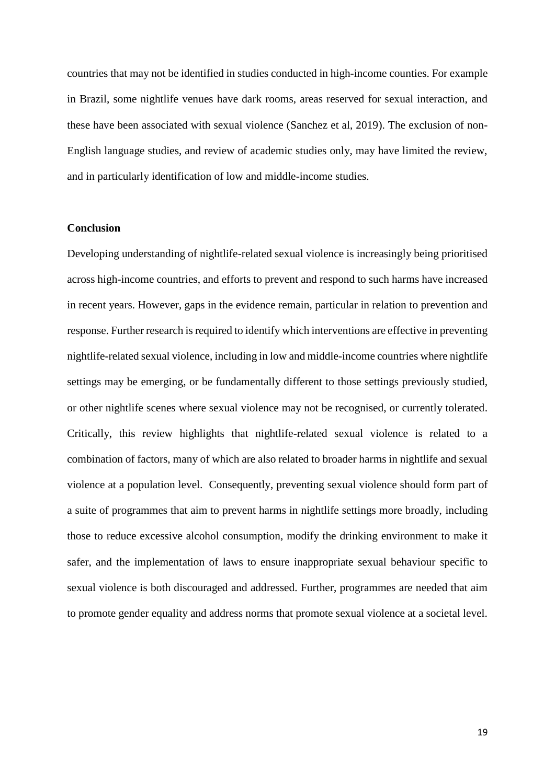countries that may not be identified in studies conducted in high-income counties. For example in Brazil, some nightlife venues have dark rooms, areas reserved for sexual interaction, and these have been associated with sexual violence (Sanchez et al, 2019). The exclusion of non-English language studies, and review of academic studies only, may have limited the review, and in particularly identification of low and middle-income studies.

#### **Conclusion**

Developing understanding of nightlife-related sexual violence is increasingly being prioritised across high-income countries, and efforts to prevent and respond to such harms have increased in recent years. However, gaps in the evidence remain, particular in relation to prevention and response. Further research is required to identify which interventions are effective in preventing nightlife-related sexual violence, including in low and middle-income countries where nightlife settings may be emerging, or be fundamentally different to those settings previously studied, or other nightlife scenes where sexual violence may not be recognised, or currently tolerated. Critically, this review highlights that nightlife-related sexual violence is related to a combination of factors, many of which are also related to broader harms in nightlife and sexual violence at a population level. Consequently, preventing sexual violence should form part of a suite of programmes that aim to prevent harms in nightlife settings more broadly, including those to reduce excessive alcohol consumption, modify the drinking environment to make it safer, and the implementation of laws to ensure inappropriate sexual behaviour specific to sexual violence is both discouraged and addressed. Further, programmes are needed that aim to promote gender equality and address norms that promote sexual violence at a societal level.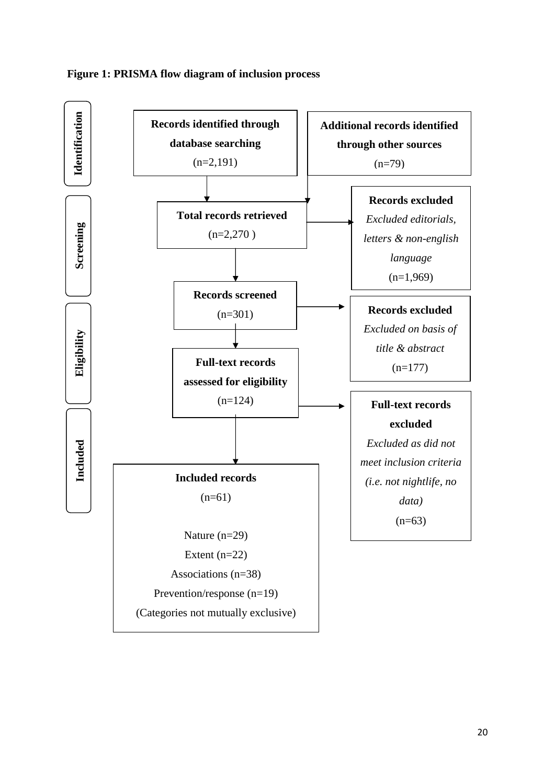

# **Figure 1: PRISMA flow diagram of inclusion process**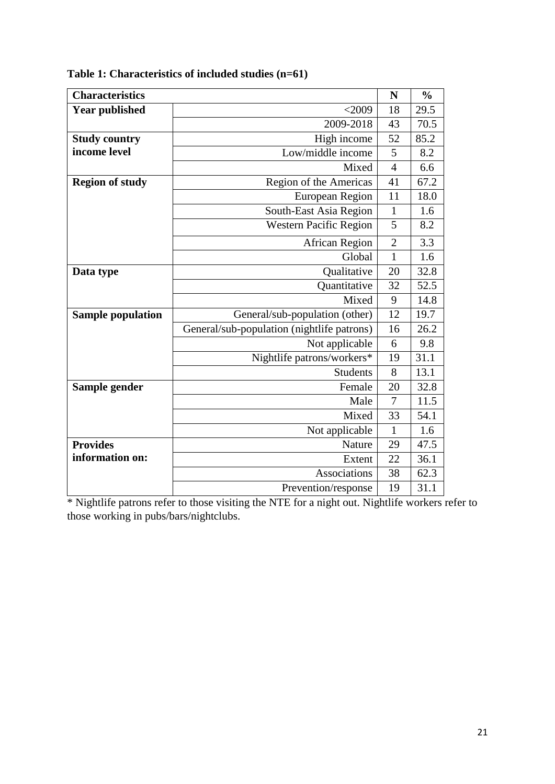| <b>Characteristics</b>   |                                            | N              | $\frac{0}{0}$ |  |
|--------------------------|--------------------------------------------|----------------|---------------|--|
| <b>Year published</b>    | $<$ 2009                                   |                |               |  |
|                          | 2009-2018                                  | 43             | 70.5          |  |
| <b>Study country</b>     | High income                                | 52             | 85.2          |  |
| income level             | Low/middle income                          | 5              | 8.2           |  |
|                          | Mixed                                      | $\overline{4}$ | 6.6           |  |
| <b>Region of study</b>   | Region of the Americas                     | 41             | 67.2          |  |
|                          | European Region                            | 11             | 18.0          |  |
|                          | South-East Asia Region                     | $\mathbf{1}$   | 1.6           |  |
|                          | <b>Western Pacific Region</b>              | 5              | 8.2           |  |
|                          | <b>African Region</b>                      | $\overline{2}$ | 3.3           |  |
|                          | Global                                     | $\mathbf{1}$   | 1.6           |  |
| Qualitative<br>Data type |                                            | 20             | 32.8          |  |
|                          | Quantitative                               | 32             | 52.5          |  |
|                          | Mixed                                      | 9              | 14.8          |  |
| <b>Sample population</b> | General/sub-population (other)             |                | 19.7          |  |
|                          | General/sub-population (nightlife patrons) | 16             | 26.2          |  |
|                          | Not applicable                             | 6              | 9.8           |  |
|                          | Nightlife patrons/workers*                 | 19             | 31.1          |  |
|                          | <b>Students</b>                            | 8              | 13.1          |  |
| Sample gender            | Female                                     | 20             | 32.8          |  |
|                          | Male                                       | 7              | 11.5          |  |
|                          | Mixed                                      | 33             | 54.1          |  |
|                          | Not applicable                             | $\mathbf{1}$   | 1.6           |  |
| <b>Provides</b>          | Nature                                     | 29             | 47.5          |  |
| information on:          | Extent                                     | 22             | 36.1          |  |
|                          | Associations                               | 38             | 62.3          |  |
|                          | Prevention/response                        | 19             | 31.1          |  |

**Table 1: Characteristics of included studies (n=61)**

\* Nightlife patrons refer to those visiting the NTE for a night out. Nightlife workers refer to those working in pubs/bars/nightclubs.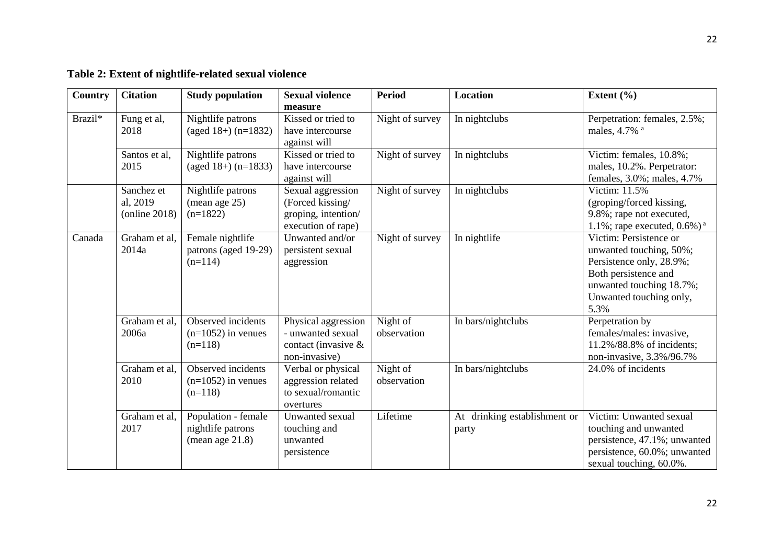| <b>Country</b> | <b>Citation</b>                         | <b>Study population</b>                                        | <b>Sexual violence</b><br>measure                                                   | <b>Period</b>           | <b>Location</b>                          | Extent $(\% )$                                                                                                                                                       |
|----------------|-----------------------------------------|----------------------------------------------------------------|-------------------------------------------------------------------------------------|-------------------------|------------------------------------------|----------------------------------------------------------------------------------------------------------------------------------------------------------------------|
| Brazil*        | Fung et al,<br>2018                     | Nightlife patrons<br>$(aged 18+) (n=1832)$                     | Kissed or tried to<br>have intercourse<br>against will                              | Night of survey         | In nightclubs                            | Perpetration: females, 2.5%;<br>males, 4.7% a                                                                                                                        |
|                | Santos et al,<br>2015                   | Nightlife patrons<br>(aged $18+$ ) (n=1833)                    | Kissed or tried to<br>have intercourse<br>against will                              | Night of survey         | In nightclubs                            | Victim: females, 10.8%;<br>males, 10.2%. Perpetrator:<br>females, 3.0%; males, 4.7%                                                                                  |
|                | Sanchez et<br>al, 2019<br>(online 2018) | Nightlife patrons<br>(mean age 25)<br>$(n=1822)$               | Sexual aggression<br>(Forced kissing/<br>groping, intention/<br>execution of rape)  | Night of survey         | In nightclubs                            | Victim: 11.5%<br>(groping/forced kissing,<br>9.8%; rape not executed,<br>1.1%; rape executed, $0.6\%$ ) <sup>a</sup>                                                 |
| Canada         | Graham et al,<br>2014a                  | Female nightlife<br>patrons (aged 19-29)<br>$(n=114)$          | Unwanted and/or<br>persistent sexual<br>aggression                                  | Night of survey         | In nightlife                             | Victim: Persistence or<br>unwanted touching, 50%;<br>Persistence only, 28.9%;<br>Both persistence and<br>unwanted touching 18.7%;<br>Unwanted touching only,<br>5.3% |
|                | Graham et al,<br>2006a                  | Observed incidents<br>$(n=1052)$ in venues<br>$(n=118)$        | Physical aggression<br>- unwanted sexual<br>contact (invasive $\&$<br>non-invasive) | Night of<br>observation | In bars/nightclubs                       | Perpetration by<br>females/males: invasive,<br>11.2%/88.8% of incidents;<br>non-invasive, 3.3%/96.7%                                                                 |
|                | Graham et al,<br>2010                   | Observed incidents<br>$(n=1052)$ in venues<br>$(n=118)$        | Verbal or physical<br>aggression related<br>to sexual/romantic<br>overtures         | Night of<br>observation | In bars/nightclubs                       | 24.0% of incidents                                                                                                                                                   |
|                | Graham et al,<br>2017                   | Population - female<br>nightlife patrons<br>(mean age $21.8$ ) | Unwanted sexual<br>touching and<br>unwanted<br>persistence                          | Lifetime                | drinking establishment or<br>At<br>party | Victim: Unwanted sexual<br>touching and unwanted<br>persistence, 47.1%; unwanted<br>persistence, 60.0%; unwanted<br>sexual touching, 60.0%.                          |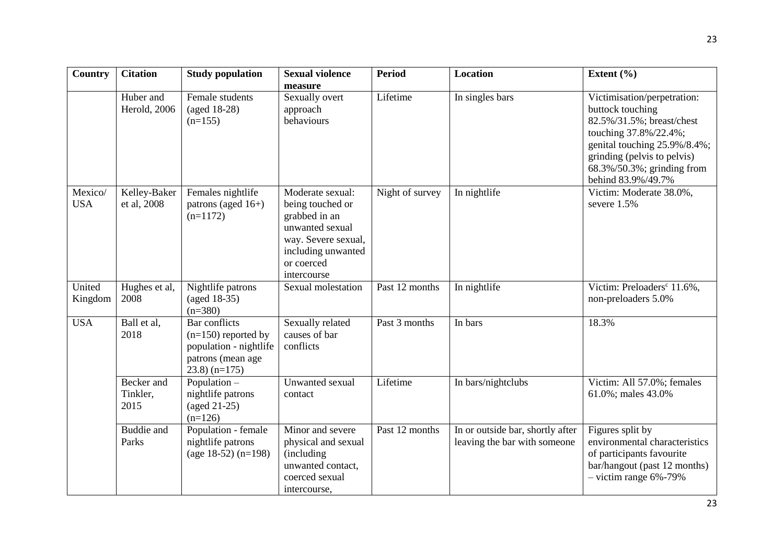| <b>Country</b>        | <b>Citation</b>                | <b>Study population</b>                                                                                   | <b>Sexual violence</b><br>measure                                                                                                                  | <b>Period</b>   | <b>Location</b>                                                  | Extent $(\% )$                                                                                                                                                                                                           |
|-----------------------|--------------------------------|-----------------------------------------------------------------------------------------------------------|----------------------------------------------------------------------------------------------------------------------------------------------------|-----------------|------------------------------------------------------------------|--------------------------------------------------------------------------------------------------------------------------------------------------------------------------------------------------------------------------|
|                       | Huber and<br>Herold, 2006      | Female students<br>(aged 18-28)<br>$(n=155)$                                                              | Sexually overt<br>approach<br>behaviours                                                                                                           | Lifetime        | In singles bars                                                  | Victimisation/perpetration:<br>buttock touching<br>82.5%/31.5%; breast/chest<br>touching 37.8%/22.4%;<br>genital touching 25.9%/8.4%;<br>grinding (pelvis to pelvis)<br>68.3%/50.3%; grinding from<br>behind 83.9%/49.7% |
| Mexico/<br><b>USA</b> | Kelley-Baker<br>et al, 2008    | Females nightlife<br>patrons (aged 16+)<br>$(n=1172)$                                                     | Moderate sexual:<br>being touched or<br>grabbed in an<br>unwanted sexual<br>way. Severe sexual,<br>including unwanted<br>or coerced<br>intercourse | Night of survey | In nightlife                                                     | Victim: Moderate 38.0%,<br>severe 1.5%                                                                                                                                                                                   |
| United<br>Kingdom     | Hughes et al,<br>2008          | Nightlife patrons<br>(aged 18-35)<br>$(n=380)$                                                            | Sexual molestation                                                                                                                                 | Past 12 months  | In nightlife                                                     | Victim: Preloaders <sup>c</sup> 11.6%,<br>non-preloaders 5.0%                                                                                                                                                            |
| <b>USA</b>            | Ball et al,<br>2018            | Bar conflicts<br>$(n=150)$ reported by<br>population - nightlife<br>patrons (mean age<br>$(23.8)$ (n=175) | Sexually related<br>causes of bar<br>conflicts                                                                                                     | Past 3 months   | In bars                                                          | 18.3%                                                                                                                                                                                                                    |
|                       | Becker and<br>Tinkler,<br>2015 | Population -<br>nightlife patrons<br>$(\text{aged }21-25)$<br>$(n=126)$                                   | Unwanted sexual<br>contact                                                                                                                         | Lifetime        | In bars/nightclubs                                               | Victim: All 57.0%; females<br>61.0%; males 43.0%                                                                                                                                                                         |
|                       | Buddie and<br>Parks            | Population - female<br>nightlife patrons<br>(age 18-52) $(n=198)$                                         | Minor and severe<br>physical and sexual<br>(including<br>unwanted contact,<br>coerced sexual<br>intercourse,                                       | Past 12 months  | In or outside bar, shortly after<br>leaving the bar with someone | Figures split by<br>environmental characteristics<br>of participants favourite<br>bar/hangout (past 12 months)<br>$-$ victim range $6\%$ -79%                                                                            |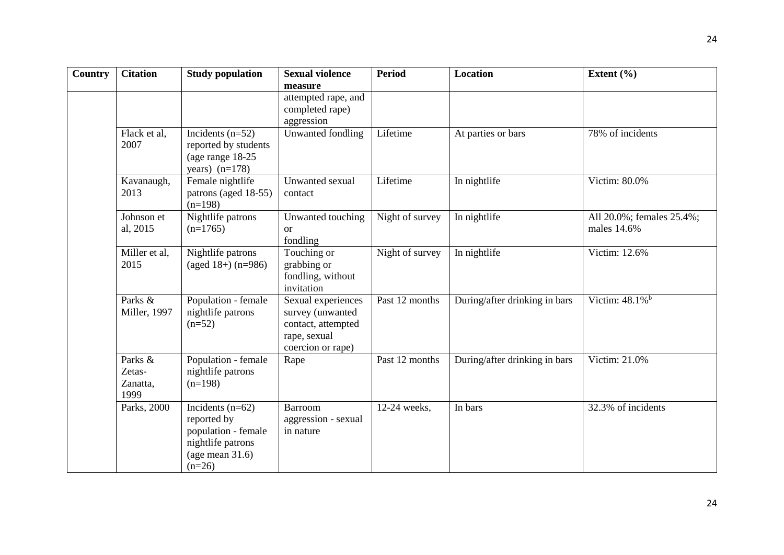| <b>Country</b> | <b>Citation</b>                       | <b>Study population</b>                                                                                         | <b>Sexual violence</b>                                                                            | <b>Period</b>   | <b>Location</b>               | Extent $(\% )$                |
|----------------|---------------------------------------|-----------------------------------------------------------------------------------------------------------------|---------------------------------------------------------------------------------------------------|-----------------|-------------------------------|-------------------------------|
|                |                                       |                                                                                                                 | measure                                                                                           |                 |                               |                               |
|                |                                       |                                                                                                                 | attempted rape, and                                                                               |                 |                               |                               |
|                |                                       |                                                                                                                 | completed rape)                                                                                   |                 |                               |                               |
|                |                                       |                                                                                                                 | aggression                                                                                        | Lifetime        |                               | 78% of incidents              |
|                | Flack et al,<br>2007                  | Incidents $(n=52)$<br>reported by students                                                                      | Unwanted fondling                                                                                 |                 | At parties or bars            |                               |
|                |                                       | (age range 18-25)                                                                                               |                                                                                                   |                 |                               |                               |
|                |                                       | years) $(n=178)$                                                                                                |                                                                                                   |                 |                               |                               |
|                | Kavanaugh,                            | Female nightlife                                                                                                | Unwanted sexual                                                                                   | Lifetime        | In nightlife                  | Victim: 80.0%                 |
|                | 2013                                  | patrons (aged 18-55)<br>$(n=198)$                                                                               | contact                                                                                           |                 |                               |                               |
|                | Johnson et                            | Nightlife patrons                                                                                               | Unwanted touching                                                                                 | Night of survey | In nightlife                  | All 20.0%; females 25.4%;     |
|                | al, 2015                              | $(n=1765)$                                                                                                      | <b>or</b><br>fondling                                                                             |                 |                               | males 14.6%                   |
|                | Miller et al,<br>2015                 | Nightlife patrons<br>(aged $18+$ ) (n=986)                                                                      | Touching or<br>grabbing or<br>fondling, without<br>invitation                                     | Night of survey | In nightlife                  | Victim: 12.6%                 |
|                | Parks &<br>Miller, 1997               | Population - female<br>nightlife patrons<br>$(n=52)$                                                            | Sexual experiences<br>survey (unwanted<br>contact, attempted<br>rape, sexual<br>coercion or rape) | Past 12 months  | During/after drinking in bars | Victim: $48.1\%$ <sup>b</sup> |
|                | Parks &<br>Zetas-<br>Zanatta,<br>1999 | Population - female<br>nightlife patrons<br>$(n=198)$                                                           | Rape                                                                                              | Past 12 months  | During/after drinking in bars | Victim: 21.0%                 |
|                | Parks, 2000                           | Incidents $(n=62)$<br>reported by<br>population - female<br>nightlife patrons<br>(age mean $31.6$ )<br>$(n=26)$ | <b>Barroom</b><br>aggression - sexual<br>in nature                                                | 12-24 weeks,    | In bars                       | 32.3% of incidents            |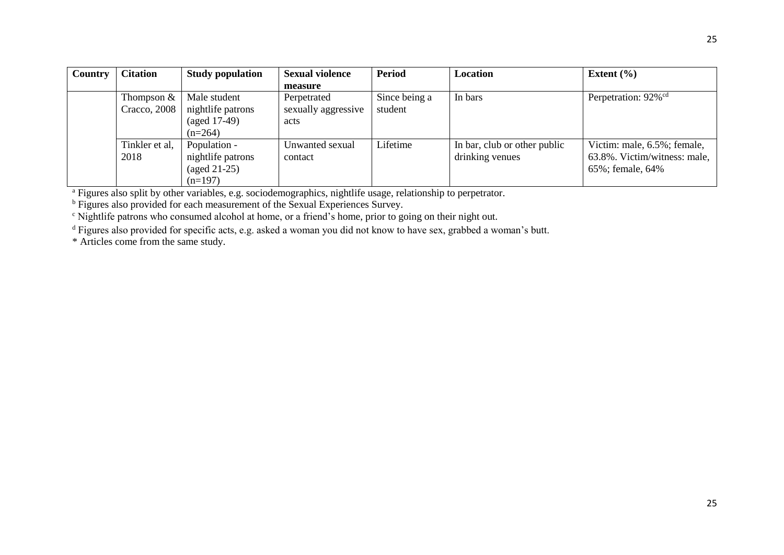| Country | <b>Citation</b>              | <b>Study population</b>                                                  | <b>Sexual violence</b>                     | <b>Period</b>            | Location                                        | Extent $(\% )$                                                                  |
|---------|------------------------------|--------------------------------------------------------------------------|--------------------------------------------|--------------------------|-------------------------------------------------|---------------------------------------------------------------------------------|
|         |                              |                                                                          | measure                                    |                          |                                                 |                                                                                 |
|         | Thompson $&$<br>Cracco, 2008 | Male student<br>nightlife patrons<br>$(aged 17-49)$<br>$(n=264)$         | Perpetrated<br>sexually aggressive<br>acts | Since being a<br>student | In bars                                         | Perpetration: 92% <sup>cd</sup>                                                 |
|         | Tinkler et al,<br>2018       | Population -<br>nightlife patrons<br>$(\text{aged } 21-25)$<br>$(n=197)$ | Unwanted sexual<br>contact                 | Lifetime                 | In bar, club or other public<br>drinking venues | Victim: male, 6.5%; female,<br>63.8%. Victim/witness: male,<br>65%; female, 64% |

<sup>a</sup> Figures also split by other variables, e.g. sociodemographics, nightlife usage, relationship to perpetrator.

<sup>b</sup> Figures also provided for each measurement of the Sexual Experiences Survey.

<sup>c</sup> Nightlife patrons who consumed alcohol at home, or a friend's home, prior to going on their night out.

<sup>d</sup> Figures also provided for specific acts, e.g. asked a woman you did not know to have sex, grabbed a woman's butt.

\* Articles come from the same study.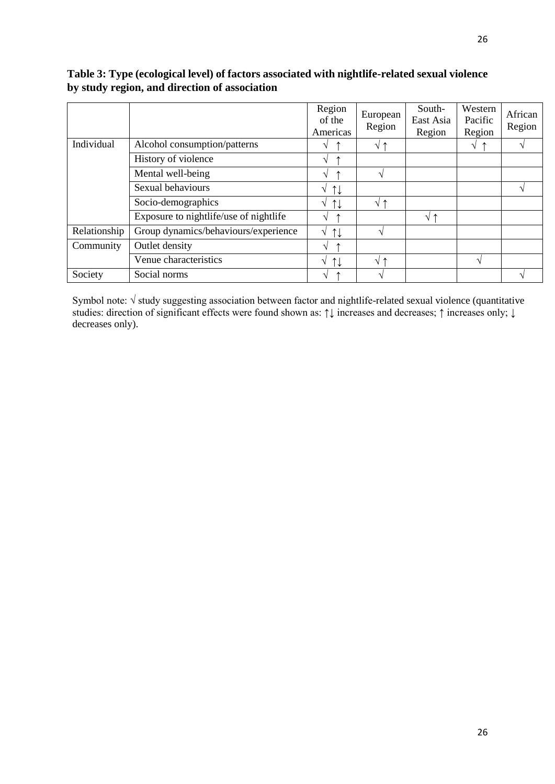# **Table 3: Type (ecological level) of factors associated with nightlife-related sexual violence by study region, and direction of association**

|              |                                        | Region<br>of the<br>Americas       | European<br>Region | South-<br>East Asia<br>Region | Western<br>Pacific<br>Region | African<br>Region |
|--------------|----------------------------------------|------------------------------------|--------------------|-------------------------------|------------------------------|-------------------|
| Individual   | Alcohol consumption/patterns           | V                                  | √↑                 |                               | V                            |                   |
|              | History of violence                    | V                                  |                    |                               |                              |                   |
|              | Mental well-being                      | V                                  |                    |                               |                              |                   |
|              | Sexual behaviours                      | $\uparrow\downarrow$<br>V          |                    |                               |                              |                   |
|              | Socio-demographics                     | $\uparrow\downarrow$<br>V          | ' ተ<br>V           |                               |                              |                   |
|              | Exposure to nightlife/use of nightlife | V                                  |                    | √↑                            |                              |                   |
| Relationship | Group dynamics/behaviours/experience   | $\uparrow\downarrow$<br>V          |                    |                               |                              |                   |
| Community    | Outlet density                         | $\sqrt{ }$                         |                    |                               |                              |                   |
|              | Venue characteristics                  | $\uparrow \downarrow$<br>$\sqrt{}$ | ᠰ<br>N             |                               | $\mathbf \Lambda$            |                   |
| Society      | Social norms                           | V                                  |                    |                               |                              |                   |

Symbol note: √ study suggesting association between factor and nightlife-related sexual violence (quantitative studies: direction of significant effects were found shown as: ↑↓ increases and decreases; ↑ increases only; ↓ decreases only).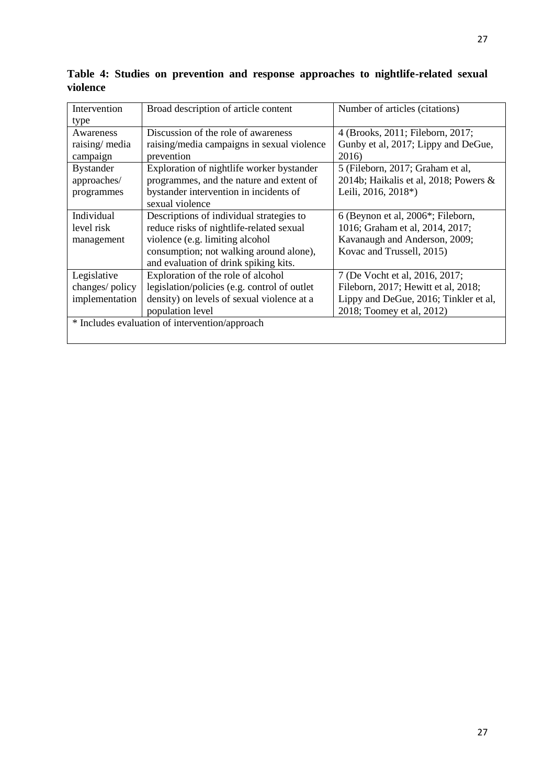| Intervention     | Broad description of article content           | Number of articles (citations)                 |
|------------------|------------------------------------------------|------------------------------------------------|
| type             |                                                |                                                |
| Awareness        | Discussion of the role of awareness            | 4 (Brooks, 2011; Fileborn, 2017;               |
| raising/media    | raising/media campaigns in sexual violence     | Gunby et al, 2017; Lippy and DeGue,            |
| campaign         | prevention                                     | 2016)                                          |
| <b>Bystander</b> | Exploration of nightlife worker bystander      | 5 (Fileborn, 2017; Graham et al,               |
| approaches/      | programmes, and the nature and extent of       | 2014b; Haikalis et al, 2018; Powers $\&$       |
| programmes       | bystander intervention in incidents of         | Leili, 2016, 2018*)                            |
|                  | sexual violence                                |                                                |
| Individual       | Descriptions of individual strategies to       | 6 (Beynon et al, 2006 <sup>*</sup> ; Fileborn, |
| level risk       | reduce risks of nightlife-related sexual       | 1016; Graham et al, 2014, 2017;                |
| management       | violence (e.g. limiting alcohol                | Kavanaugh and Anderson, 2009;                  |
|                  | consumption; not walking around alone),        | Kovac and Trussell, 2015)                      |
|                  | and evaluation of drink spiking kits.          |                                                |
| Legislative      | Exploration of the role of alcohol             | 7 (De Vocht et al, 2016, 2017;                 |
| changes/policy   | legislation/policies (e.g. control of outlet   | Fileborn, 2017; Hewitt et al, 2018;            |
| implementation   | density) on levels of sexual violence at a     | Lippy and DeGue, 2016; Tinkler et al,          |
|                  | population level                               | 2018; Toomey et al, 2012)                      |
|                  | * Includes evaluation of intervention/approach |                                                |
|                  |                                                |                                                |

**Table 4: Studies on prevention and response approaches to nightlife-related sexual violence**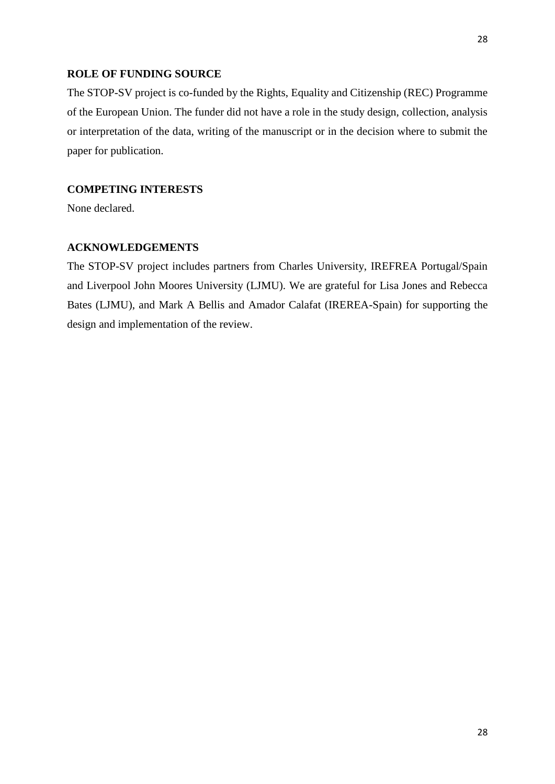# **ROLE OF FUNDING SOURCE**

The STOP-SV project is co-funded by the Rights, Equality and Citizenship (REC) Programme of the European Union. The funder did not have a role in the study design, collection, analysis or interpretation of the data, writing of the manuscript or in the decision where to submit the paper for publication.

# **COMPETING INTERESTS**

None declared.

# **ACKNOWLEDGEMENTS**

The STOP-SV project includes partners from Charles University, IREFREA Portugal/Spain and Liverpool John Moores University (LJMU). We are grateful for Lisa Jones and Rebecca Bates (LJMU), and Mark A Bellis and Amador Calafat (IREREA-Spain) for supporting the design and implementation of the review.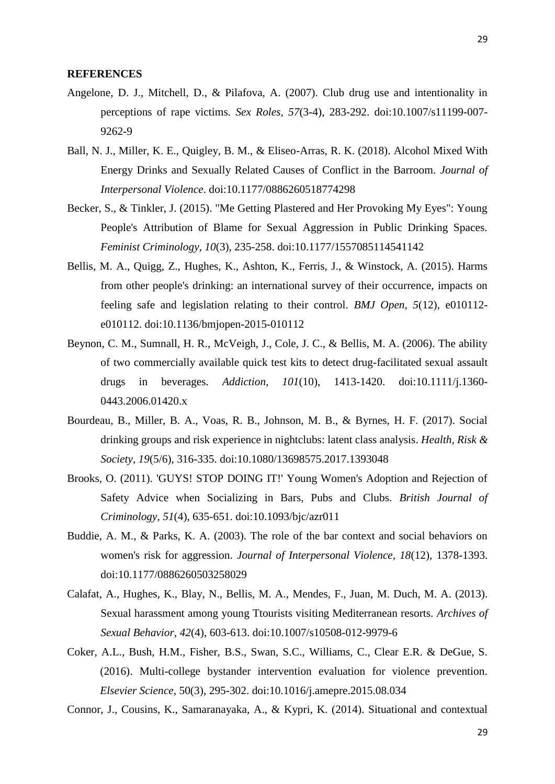#### **REFERENCES**

- Angelone, D. J., Mitchell, D., & Pilafova, A. (2007). Club drug use and intentionality in perceptions of rape victims. *Sex Roles, 57*(3-4), 283-292. doi:10.1007/s11199-007- 9262-9
- Ball, N. J., Miller, K. E., Quigley, B. M., & Eliseo-Arras, R. K. (2018). Alcohol Mixed With Energy Drinks and Sexually Related Causes of Conflict in the Barroom. *Journal of Interpersonal Violence*. doi:10.1177/0886260518774298
- Becker, S., & Tinkler, J. (2015). "Me Getting Plastered and Her Provoking My Eyes": Young People's Attribution of Blame for Sexual Aggression in Public Drinking Spaces. *Feminist Criminology, 10*(3), 235-258. doi:10.1177/1557085114541142
- Bellis, M. A., Quigg, Z., Hughes, K., Ashton, K., Ferris, J., & Winstock, A. (2015). Harms from other people's drinking: an international survey of their occurrence, impacts on feeling safe and legislation relating to their control. *BMJ Open, 5*(12), e010112 e010112. doi:10.1136/bmjopen-2015-010112
- Beynon, C. M., Sumnall, H. R., McVeigh, J., Cole, J. C., & Bellis, M. A. (2006). The ability of two commercially available quick test kits to detect drug-facilitated sexual assault drugs in beverages. *Addiction, 101*(10), 1413-1420. [doi:10.1111/j.1360-](https://doi.org/10.1111/j.1360-0443.2006.01420.x) [0443.2006.01420.x](https://doi.org/10.1111/j.1360-0443.2006.01420.x)
- Bourdeau, B., Miller, B. A., Voas, R. B., Johnson, M. B., & Byrnes, H. F. (2017). Social drinking groups and risk experience in nightclubs: latent class analysis. *Health, Risk & Society, 19*(5/6), 316-335. doi:10.1080/13698575.2017.1393048
- Brooks, O. (2011). 'GUYS! STOP DOING IT!' Young Women's Adoption and Rejection of Safety Advice when Socializing in Bars, Pubs and Clubs. *British Journal of Criminology, 51*(4), 635-651. doi:10.1093/bjc/azr011
- Buddie, A. M., & Parks, K. A. (2003). The role of the bar context and social behaviors on women's risk for aggression. *Journal of Interpersonal Violence, 18*(12), 1378-1393. doi:10.1177/0886260503258029
- Calafat, A., Hughes, K., Blay, N., Bellis, M. A., Mendes, F., Juan, M. Duch, M. A. (2013). Sexual harassment among young Ttourists visiting Mediterranean resorts. *Archives of Sexual Behavior, 42*(4), 603-613. doi:10.1007/s10508-012-9979-6
- Coker, A.L., Bush, H.M., Fisher, B.S., Swan, S.C., Williams, C., Clear E.R. & DeGue, S. (2016). Multi-college bystander intervention evaluation for violence prevention. *Elsevier Science,* 50(3), 295-302. doi:10.1016/j.amepre.2015.08.034

Connor, J., Cousins, K., Samaranayaka, A., & Kypri, K. (2014). Situational and contextual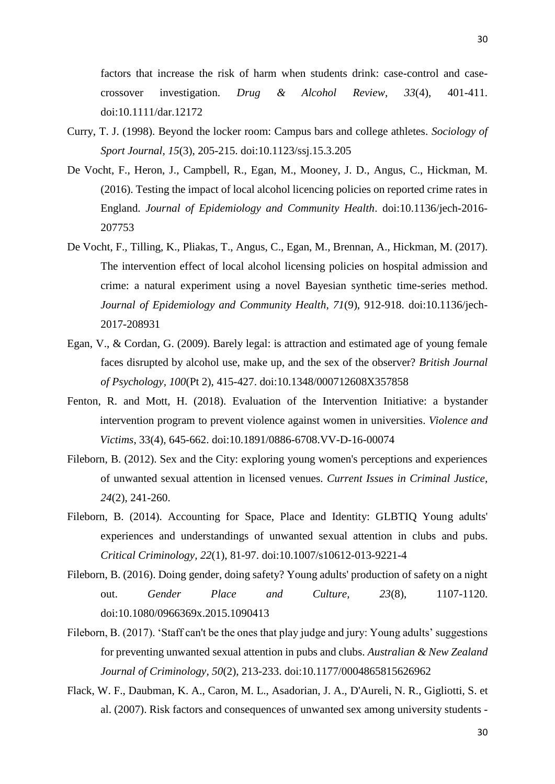30

factors that increase the risk of harm when students drink: case-control and casecrossover investigation. *Drug & Alcohol Review, 33*(4), 401-411. doi:10.1111/dar.12172

- Curry, T. J. (1998). Beyond the locker room: Campus bars and college athletes. *Sociology of Sport Journal, 15*(3), 205-215. [doi:10.1123/ssj.15.3.205](https://doi.org/10.1123/ssj.15.3.205)
- De Vocht, F., Heron, J., Campbell, R., Egan, M., Mooney, J. D., Angus, C., Hickman, M. (2016). Testing the impact of local alcohol licencing policies on reported crime rates in England. *Journal of Epidemiology and Community Health*. doi:10.1136/jech-2016- 207753
- De Vocht, F., Tilling, K., Pliakas, T., Angus, C., Egan, M., Brennan, A., Hickman, M. (2017). The intervention effect of local alcohol licensing policies on hospital admission and crime: a natural experiment using a novel Bayesian synthetic time-series method. *Journal of Epidemiology and Community Health, 71*(9), 912-918. doi:10.1136/jech-2017-208931
- Egan, V., & Cordan, G. (2009). Barely legal: is attraction and estimated age of young female faces disrupted by alcohol use, make up, and the sex of the observer? *British Journal of Psychology, 100*(Pt 2), 415-427. doi:10.1348/000712608X357858
- Fenton, R. and Mott, H. (2018). Evaluation of the Intervention Initiative: a bystander intervention program to prevent violence against women in universities. *Violence and Victims*, 33(4), 645-662. [doi:10.1891/0886-6708.VV-D-16-00074](https://doi.org/10.1891/0886-6708.VV-D-16-00074)
- Fileborn, B. (2012). Sex and the City: exploring young women's perceptions and experiences of unwanted sexual attention in licensed venues. *Current Issues in Criminal Justice, 24*(2), 241-260.
- Fileborn, B. (2014). Accounting for Space, Place and Identity: GLBTIQ Young adults' experiences and understandings of unwanted sexual attention in clubs and pubs. *Critical Criminology, 22*(1), 81-97. doi:10.1007/s10612-013-9221-4
- Fileborn, B. (2016). Doing gender, doing safety? Young adults' production of safety on a night out. *Gender Place and Culture, 23*(8), 1107-1120. doi:10.1080/0966369x.2015.1090413
- Fileborn, B. (2017). 'Staff can't be the ones that play judge and jury: Young adults' suggestions for preventing unwanted sexual attention in pubs and clubs. *Australian & New Zealand Journal of Criminology, 50*(2), 213-233. doi:10.1177/0004865815626962
- Flack, W. F., Daubman, K. A., Caron, M. L., Asadorian, J. A., D'Aureli, N. R., Gigliotti, S. et al. (2007). Risk factors and consequences of unwanted sex among university students -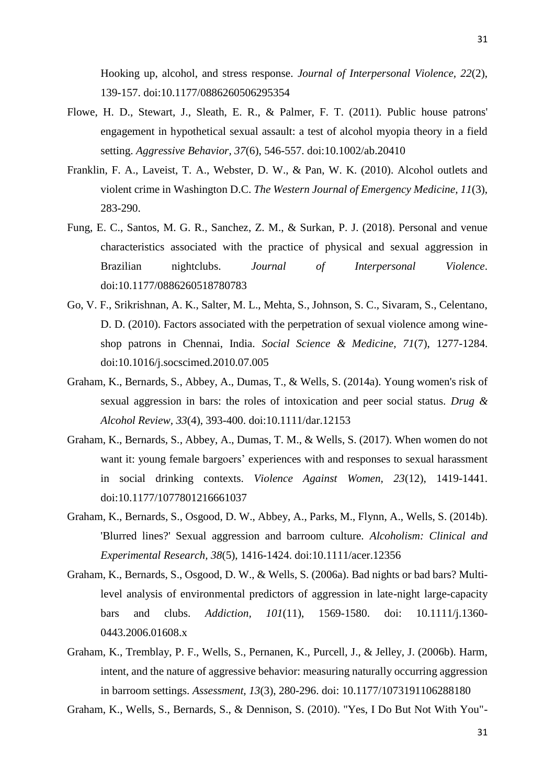Flowe, H. D., Stewart, J., Sleath, E. R., & Palmer, F. T. (2011). Public house patrons' engagement in hypothetical sexual assault: a test of alcohol myopia theory in a field setting. *Aggressive Behavior, 37*(6), 546-557. doi:10.1002/ab.20410

139-157. doi:10.1177/0886260506295354

- Franklin, F. A., Laveist, T. A., Webster, D. W., & Pan, W. K. (2010). Alcohol outlets and violent crime in Washington D.C. *The Western Journal of Emergency Medicine, 11*(3), 283-290.
- Fung, E. C., Santos, M. G. R., Sanchez, Z. M., & Surkan, P. J. (2018). Personal and venue characteristics associated with the practice of physical and sexual aggression in Brazilian nightclubs. *Journal of Interpersonal Violence*. doi:10.1177/0886260518780783
- Go, V. F., Srikrishnan, A. K., Salter, M. L., Mehta, S., Johnson, S. C., Sivaram, S., Celentano, D. D. (2010). Factors associated with the perpetration of sexual violence among wineshop patrons in Chennai, India. *Social Science & Medicine, 71*(7), 1277-1284. doi:10.1016/j.socscimed.2010.07.005
- Graham, K., Bernards, S., Abbey, A., Dumas, T., & Wells, S. (2014a). Young women's risk of sexual aggression in bars: the roles of intoxication and peer social status. *Drug & Alcohol Review, 33*(4), 393-400. doi:10.1111/dar.12153
- Graham, K., Bernards, S., Abbey, A., Dumas, T. M., & Wells, S. (2017). When women do not want it: young female bargoers' experiences with and responses to sexual harassment in social drinking contexts. *Violence Against Women, 23*(12), 1419-1441. doi:10.1177/1077801216661037
- Graham, K., Bernards, S., Osgood, D. W., Abbey, A., Parks, M., Flynn, A., Wells, S. (2014b). 'Blurred lines?' Sexual aggression and barroom culture. *Alcoholism: Clinical and Experimental Research, 38*(5), 1416-1424. doi:10.1111/acer.12356
- Graham, K., Bernards, S., Osgood, D. W., & Wells, S. (2006a). Bad nights or bad bars? Multilevel analysis of environmental predictors of aggression in late-night large-capacity bars and clubs. *Addiction, 101*(11), 1569-1580. [doi: 10.1111/j.1360-](https://doi.org/10.1111/j.1360-0443.2006.01608.x) [0443.2006.01608.x](https://doi.org/10.1111/j.1360-0443.2006.01608.x)
- Graham, K., Tremblay, P. F., Wells, S., Pernanen, K., Purcell, J., & Jelley, J. (2006b). Harm, intent, and the nature of aggressive behavior: measuring naturally occurring aggression in barroom settings. *Assessment, 13*(3), 280-296. [doi: 10.1177/1073191106288180](https://doi.org/10.1177%2F1073191106288180)

Graham, K., Wells, S., Bernards, S., & Dennison, S. (2010). "Yes, I Do But Not With You"-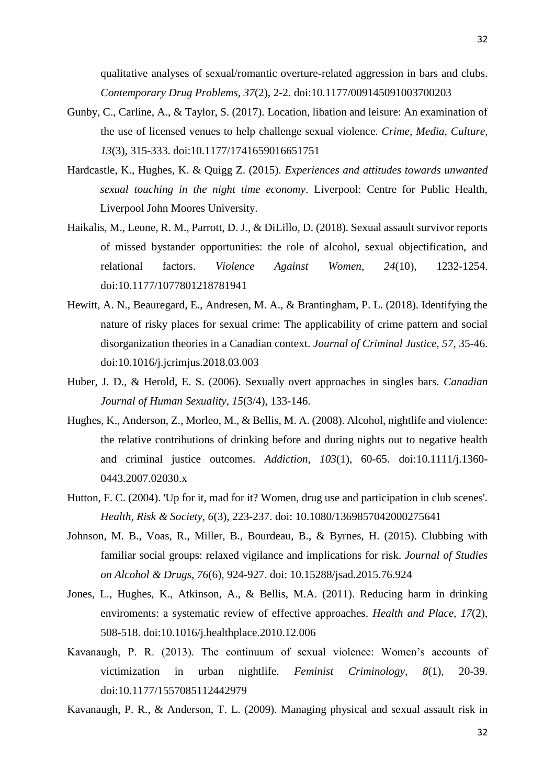qualitative analyses of sexual/romantic overture-related aggression in bars and clubs. *Contemporary Drug Problems, 37*(2), 2-2. [doi:10.1177/009145091003700203](https://doi.org/10.1177%2F009145091003700203)

- Gunby, C., Carline, A., & Taylor, S. (2017). Location, libation and leisure: An examination of the use of licensed venues to help challenge sexual violence. *Crime, Media, Culture, 13*(3), 315-333. doi:10.1177/1741659016651751
- Hardcastle, K., Hughes, K. & Quigg Z. (2015). *Experiences and attitudes towards unwanted sexual touching in the night time economy*. Liverpool: Centre for Public Health, Liverpool John Moores University.
- Haikalis, M., Leone, R. M., Parrott, D. J., & DiLillo, D. (2018). Sexual assault survivor reports of missed bystander opportunities: the role of alcohol, sexual objectification, and relational factors. *Violence Against Women, 24*(10), 1232-1254. doi:10.1177/1077801218781941
- Hewitt, A. N., Beauregard, E., Andresen, M. A., & Brantingham, P. L. (2018). Identifying the nature of risky places for sexual crime: The applicability of crime pattern and social disorganization theories in a Canadian context. *Journal of Criminal Justice, 57*, 35-46. doi:10.1016/j.jcrimjus.2018.03.003
- Huber, J. D., & Herold, E. S. (2006). Sexually overt approaches in singles bars. *Canadian Journal of Human Sexuality, 15*(3/4), 133-146.
- Hughes, K., Anderson, Z., Morleo, M., & Bellis, M. A. (2008). Alcohol, nightlife and violence: the relative contributions of drinking before and during nights out to negative health and criminal justice outcomes. *Addiction, 103*(1), 60-65. [doi:10.1111/j.1360-](https://doi.org/10.1111/j.1360-0443.2007.02030.x) [0443.2007.02030.x](https://doi.org/10.1111/j.1360-0443.2007.02030.x)
- Hutton, F. C. (2004). 'Up for it, mad for it? Women, drug use and participation in club scenes'. *Health, Risk & Society, 6*(3), 223-237. [doi: 10.1080/1369857042000275641](https://doi.org/10.1080/1369857042000275641)
- Johnson, M. B., Voas, R., Miller, B., Bourdeau, B., & Byrnes, H. (2015). Clubbing with familiar social groups: relaxed vigilance and implications for risk. *Journal of Studies on Alcohol & Drugs, 76*(6), 924-927. [doi: 10.15288/jsad.2015.76.924](https://doi.org/10.15288/jsad.2015.76.924)
- Jones, L., Hughes, K., Atkinson, A., & Bellis, M.A. (2011). Reducing harm in drinking enviroments: a systematic review of effective approaches. *Health and Place, 17*(2), 508-518. [doi:10.1016/j.healthplace.2010.12.006](https://doi.org/10.1016/j.healthplace.2010.12.006)
- Kavanaugh, P. R. (2013). The continuum of sexual violence: Women's accounts of victimization in urban nightlife. *Feminist Criminology, 8*(1), 20-39. doi:10.1177/1557085112442979
- Kavanaugh, P. R., & Anderson, T. L. (2009). Managing physical and sexual assault risk in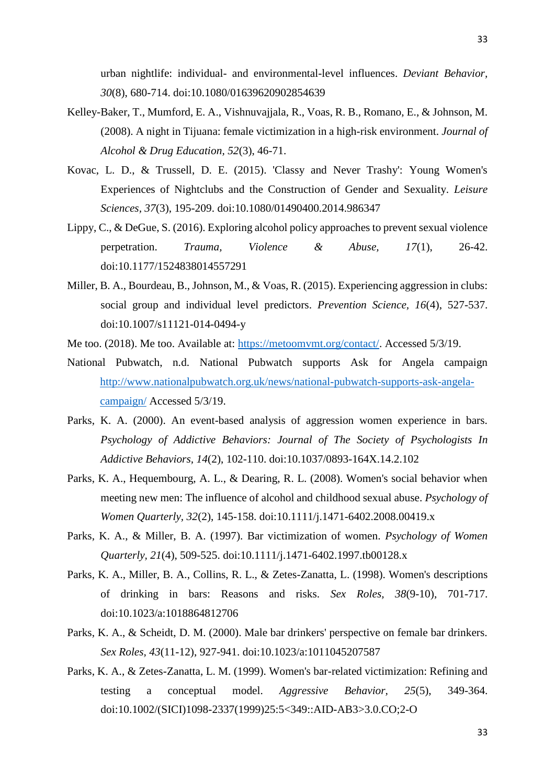urban nightlife: individual- and environmental-level influences. *Deviant Behavior, 30*(8), 680-714. doi:10.1080/01639620902854639

- Kelley-Baker, T., Mumford, E. A., Vishnuvajjala, R., Voas, R. B., Romano, E., & Johnson, M. (2008). A night in Tijuana: female victimization in a high-risk environment. *Journal of Alcohol & Drug Education, 52*(3), 46-71.
- Kovac, L. D., & Trussell, D. E. (2015). 'Classy and Never Trashy': Young Women's Experiences of Nightclubs and the Construction of Gender and Sexuality. *Leisure Sciences, 37*(3), 195-209. doi:10.1080/01490400.2014.986347
- Lippy, C., & DeGue, S. (2016). Exploring alcohol policy approaches to prevent sexual violence perpetration. *Trauma, Violence & Abuse, 17*(1), 26-42. doi:10.1177/1524838014557291
- Miller, B. A., Bourdeau, B., Johnson, M., & Voas, R. (2015). Experiencing aggression in clubs: social group and individual level predictors. *Prevention Science, 16*(4), 527-537. doi:10.1007/s11121-014-0494-y
- Me too. (2018). Me too. Available at: [https://metoomvmt.org/contact/.](https://metoomvmt.org/contact/) Accessed 5/3/19.
- National Pubwatch, n.d. National Pubwatch supports Ask for Angela campaign [http://www.nationalpubwatch.org.uk/news/national-pubwatch-supports-ask-angela](http://www.nationalpubwatch.org.uk/news/national-pubwatch-supports-ask-angela-campaign/)[campaign/](http://www.nationalpubwatch.org.uk/news/national-pubwatch-supports-ask-angela-campaign/) Accessed 5/3/19.
- Parks, K. A. (2000). An event-based analysis of aggression women experience in bars. *Psychology of Addictive Behaviors: Journal of The Society of Psychologists In Addictive Behaviors, 14*(2), 102-110. doi:10.1037/0893-164X.14.2.102
- Parks, K. A., Hequembourg, A. L., & Dearing, R. L. (2008). Women's social behavior when meeting new men: The influence of alcohol and childhood sexual abuse. *Psychology of Women Quarterly, 32*(2), 145-158. doi:10.1111/j.1471-6402.2008.00419.x
- Parks, K. A., & Miller, B. A. (1997). Bar victimization of women. *Psychology of Women Quarterly, 21*(4), 509-525. doi:10.1111/j.1471-6402.1997.tb00128.x
- Parks, K. A., Miller, B. A., Collins, R. L., & Zetes-Zanatta, L. (1998). Women's descriptions of drinking in bars: Reasons and risks. *Sex Roles, 38*(9-10), 701-717. doi:10.1023/a:1018864812706
- Parks, K. A., & Scheidt, D. M. (2000). Male bar drinkers' perspective on female bar drinkers. *Sex Roles, 43*(11-12), 927-941. doi:10.1023/a:1011045207587
- Parks, K. A., & Zetes-Zanatta, L. M. (1999). Women's bar-related victimization: Refining and testing a conceptual model. *Aggressive Behavior, 25*(5), 349-364. doi:10.1002/(SICI)1098-2337(1999)25:5<349::AID-AB3>3.0.CO;2-O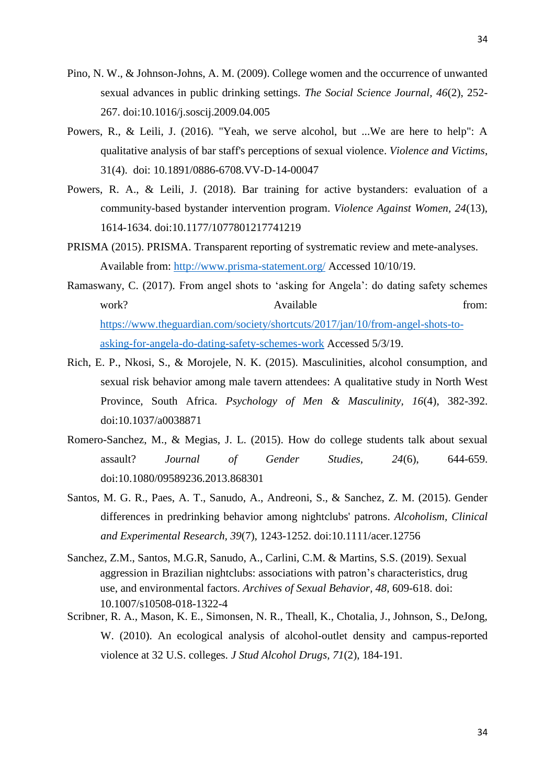- Pino, N. W., & Johnson-Johns, A. M. (2009). College women and the occurrence of unwanted sexual advances in public drinking settings. *The Social Science Journal, 46*(2), 252- 267. doi:10.1016/j.soscij.2009.04.005
- Powers, R., & Leili, J. (2016). "Yeah, we serve alcohol, but ...We are here to help": A qualitative analysis of bar staff's perceptions of sexual violence. *Violence and Victims*, 31(4). doi: [10.1891/0886-6708.VV-D-14-00047](http://dx.doi.org/10.1891/0886-6708.VV-D-14-00047)
- Powers, R. A., & Leili, J. (2018). Bar training for active bystanders: evaluation of a community-based bystander intervention program. *Violence Against Women, 24*(13), 1614-1634. doi:10.1177/1077801217741219
- PRISMA (2015). PRISMA. Transparent reporting of systrematic review and mete-analyses. Available from:<http://www.prisma-statement.org/> Accessed 10/10/19.
- Ramaswany, C. (2017). From angel shots to 'asking for Angela': do dating safety schemes work? Available from: [https://www.theguardian.com/society/shortcuts/2017/jan/10/from-angel-shots-to](https://www.theguardian.com/society/shortcuts/2017/jan/10/from-angel-shots-to-asking-for-angela-do-dating-safety-schemes-work)[asking-for-angela-do-dating-safety-schemes-work](https://www.theguardian.com/society/shortcuts/2017/jan/10/from-angel-shots-to-asking-for-angela-do-dating-safety-schemes-work) Accessed 5/3/19.
- Rich, E. P., Nkosi, S., & Morojele, N. K. (2015). Masculinities, alcohol consumption, and sexual risk behavior among male tavern attendees: A qualitative study in North West Province, South Africa. *Psychology of Men & Masculinity, 16*(4), 382-392. doi:10.1037/a0038871
- Romero-Sanchez, M., & Megias, J. L. (2015). How do college students talk about sexual assault? *Journal of Gender Studies, 24*(6), 644-659. doi:10.1080/09589236.2013.868301
- Santos, M. G. R., Paes, A. T., Sanudo, A., Andreoni, S., & Sanchez, Z. M. (2015). Gender differences in predrinking behavior among nightclubs' patrons. *Alcoholism, Clinical and Experimental Research, 39*(7), 1243-1252. doi:10.1111/acer.12756
- Sanchez, Z.M., Santos, M.G.R, Sanudo, A., Carlini, C.M. & Martins, S.S. (2019). Sexual aggression in Brazilian nightclubs: associations with patron's characteristics, drug use, and environmental factors. *Archives of Sexual Behavior, 48,* 609-618. doi: 10.1007/s10508-018-1322-4
- Scribner, R. A., Mason, K. E., Simonsen, N. R., Theall, K., Chotalia, J., Johnson, S., DeJong, W. (2010). An ecological analysis of alcohol-outlet density and campus-reported violence at 32 U.S. colleges. *J Stud Alcohol Drugs, 71*(2), 184-191.